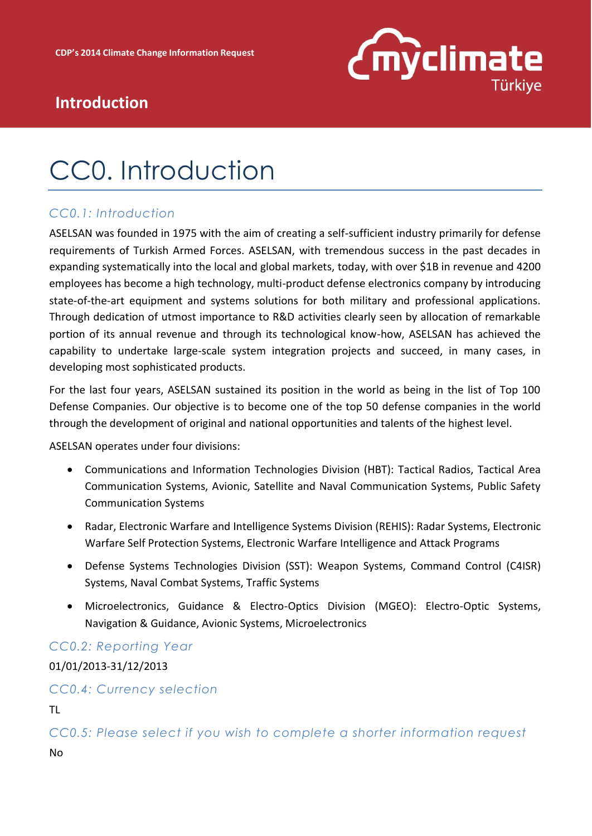

## **Introduction**

# CC0. Introduction

### *CC0.1: Introduction*

ASELSAN was founded in 1975 with the aim of creating a self-sufficient industry primarily for defense requirements of Turkish Armed Forces. ASELSAN, with tremendous success in the past decades in expanding systematically into the local and global markets, today, with over \$1B in revenue and 4200 employees has become a high technology, multi-product defense electronics company by introducing state-of-the-art equipment and systems solutions for both military and professional applications. Through dedication of utmost importance to R&D activities clearly seen by allocation of remarkable portion of its annual revenue and through its technological know-how, ASELSAN has achieved the capability to undertake large-scale system integration projects and succeed, in many cases, in developing most sophisticated products.

For the last four years, ASELSAN sustained its position in the world as being in the list of Top 100 Defense Companies. Our objective is to become one of the top 50 defense companies in the world through the development of original and national opportunities and talents of the highest level.

ASELSAN operates under four divisions:

- Communications and Information Technologies Division (HBT): Tactical Radios, Tactical Area Communication Systems, Avionic, Satellite and Naval Communication Systems, Public Safety Communication Systems
- Radar, Electronic Warfare and Intelligence Systems Division (REHIS): Radar Systems, Electronic Warfare Self Protection Systems, Electronic Warfare Intelligence and Attack Programs
- Defense Systems Technologies Division (SST): Weapon Systems, Command Control (C4ISR) Systems, Naval Combat Systems, Traffic Systems
- Microelectronics, Guidance & Electro-Optics Division (MGEO): Electro-Optic Systems, Navigation & Guidance, Avionic Systems, Microelectronics

*CC0.2: Reporting Year* 

01/01/2013-31/12/2013

#### *CC0.4: Currency selection*

TL

*CC0.5: Please select if you wish to complete a shorter information request*  No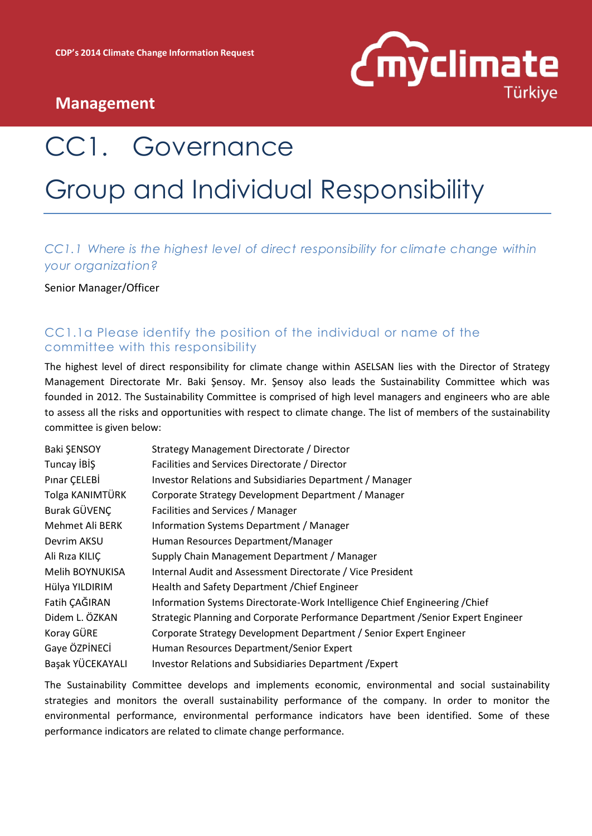

# CC1. Governance Group and Individual Responsibility

### *CC1.1 Where is the highest level of direct responsibility for climate change within your organization?*

Senior Manager/Officer

### CC1.1a Please identify the position of the individual or name of the committee with this responsibility

The highest level of direct responsibility for climate change within ASELSAN lies with the Director of Strategy Management Directorate Mr. Baki Şensoy. Mr. Şensoy also leads the Sustainability Committee which was founded in 2012. The Sustainability Committee is comprised of high level managers and engineers who are able to assess all the risks and opportunities with respect to climate change. The list of members of the sustainability committee is given below:

| Baki ŞENSOY      | Strategy Management Directorate / Director                                       |
|------------------|----------------------------------------------------------------------------------|
| Tuncay IBIŞ      | Facilities and Services Directorate / Director                                   |
| Pinar CELEBİ     | Investor Relations and Subsidiaries Department / Manager                         |
| Tolga KANIMTÜRK  | Corporate Strategy Development Department / Manager                              |
| Burak GÜVENÇ     | Facilities and Services / Manager                                                |
| Mehmet Ali BERK  | Information Systems Department / Manager                                         |
| Devrim AKSU      | Human Resources Department/Manager                                               |
| Ali Rıza KILIÇ   | Supply Chain Management Department / Manager                                     |
| Melih BOYNUKISA  | Internal Audit and Assessment Directorate / Vice President                       |
| Hülya YILDIRIM   | Health and Safety Department / Chief Engineer                                    |
| Fatih ÇAĞIRAN    | Information Systems Directorate-Work Intelligence Chief Engineering / Chief      |
| Didem L. ÖZKAN   | Strategic Planning and Corporate Performance Department / Senior Expert Engineer |
| Koray GÜRE       | Corporate Strategy Development Department / Senior Expert Engineer               |
| Gaye ÖZPİNECİ    | Human Resources Department/Senior Expert                                         |
| Başak YÜCEKAYALI | Investor Relations and Subsidiaries Department / Expert                          |

The Sustainability Committee develops and implements economic, environmental and social sustainability strategies and monitors the overall sustainability performance of the company. In order to monitor the environmental performance, environmental performance indicators have been identified. Some of these performance indicators are related to climate change performance.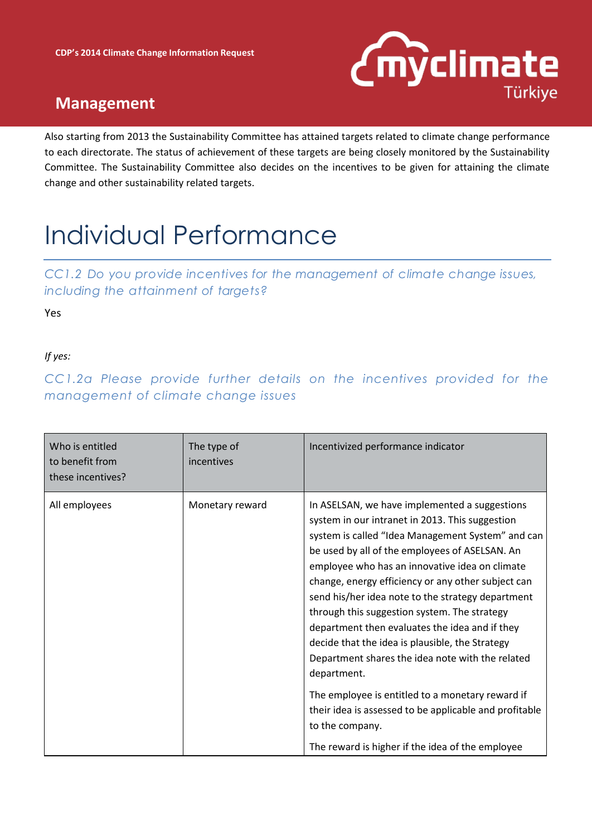

Also starting from 2013 the Sustainability Committee has attained targets related to climate change performance to each directorate. The status of achievement of these targets are being closely monitored by the Sustainability Committee. The Sustainability Committee also decides on the incentives to be given for attaining the climate change and other sustainability related targets.

# Individual Performance

*CC1.2 Do you provide incentives for the management of climate change issues, including the attainment of targets?*

Yes

*If yes:* 

*CC1.2a Please provide further details on the incentives provided for the management of climate change issues*

| Who is entitled<br>to benefit from<br>these incentives? | The type of<br>incentives | Incentivized performance indicator                                                                                                                                                                                                                                                                                                                                                                                                                                                                                                                                                                                                                                                                                                                                                |
|---------------------------------------------------------|---------------------------|-----------------------------------------------------------------------------------------------------------------------------------------------------------------------------------------------------------------------------------------------------------------------------------------------------------------------------------------------------------------------------------------------------------------------------------------------------------------------------------------------------------------------------------------------------------------------------------------------------------------------------------------------------------------------------------------------------------------------------------------------------------------------------------|
| All employees                                           | Monetary reward           | In ASELSAN, we have implemented a suggestions<br>system in our intranet in 2013. This suggestion<br>system is called "Idea Management System" and can<br>be used by all of the employees of ASELSAN. An<br>employee who has an innovative idea on climate<br>change, energy efficiency or any other subject can<br>send his/her idea note to the strategy department<br>through this suggestion system. The strategy<br>department then evaluates the idea and if they<br>decide that the idea is plausible, the Strategy<br>Department shares the idea note with the related<br>department.<br>The employee is entitled to a monetary reward if<br>their idea is assessed to be applicable and profitable<br>to the company.<br>The reward is higher if the idea of the employee |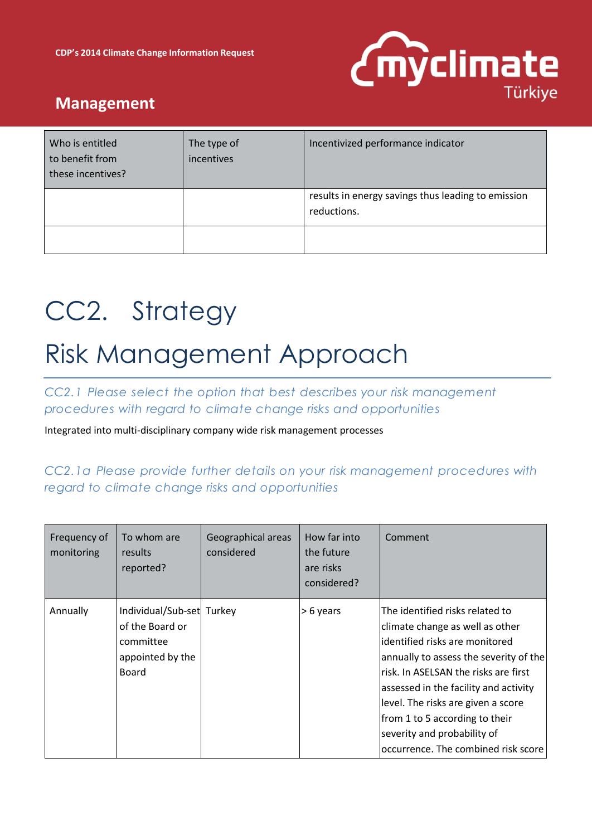

| Who is entitled<br>to benefit from<br>these incentives? | The type of<br>incentives | Incentivized performance indicator                                |
|---------------------------------------------------------|---------------------------|-------------------------------------------------------------------|
|                                                         |                           | results in energy savings thus leading to emission<br>reductions. |
|                                                         |                           |                                                                   |

# CC2. Strategy

# Risk Management Approach

*CC2.1 Please select the option that best describes your risk management procedures with regard to climate change risks and opportunities*

Integrated into multi-disciplinary company wide risk management processes

### *CC2.1a Please provide further details on your risk management procedures with regard to climate change risks and opportunities*

| Frequency of<br>monitoring | To whom are<br>results<br>reported?                                                           | Geographical areas<br>considered | How far into<br>the future<br>are risks<br>considered? | Comment                                                                                                                                                                                                                                                                                                                                                                         |
|----------------------------|-----------------------------------------------------------------------------------------------|----------------------------------|--------------------------------------------------------|---------------------------------------------------------------------------------------------------------------------------------------------------------------------------------------------------------------------------------------------------------------------------------------------------------------------------------------------------------------------------------|
| Annually                   | Individual/Sub-set Turkey<br>of the Board or<br>committee<br>appointed by the<br><b>Board</b> |                                  | > 6 years                                              | The identified risks related to<br>climate change as well as other<br>lidentified risks are monitored<br>annually to assess the severity of the<br>lrisk. In ASELSAN the risks are first<br>assessed in the facility and activity<br>level. The risks are given a score<br>from 1 to 5 according to their<br>severity and probability of<br>occurrence. The combined risk score |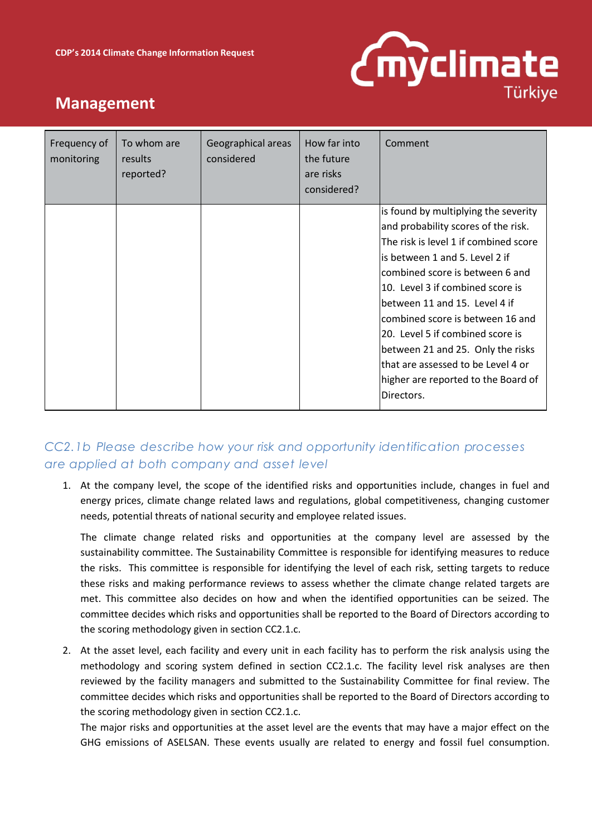

| Frequency of<br>monitoring | To whom are<br>results<br>reported? | Geographical areas<br>considered | How far into<br>the future<br>are risks<br>considered? | Comment                               |
|----------------------------|-------------------------------------|----------------------------------|--------------------------------------------------------|---------------------------------------|
|                            |                                     |                                  |                                                        | is found by multiplying the severity  |
|                            |                                     |                                  |                                                        | and probability scores of the risk.   |
|                            |                                     |                                  |                                                        | The risk is level 1 if combined score |
|                            |                                     |                                  |                                                        | is between 1 and 5. Level 2 if        |
|                            |                                     |                                  |                                                        | combined score is between 6 and       |
|                            |                                     |                                  |                                                        | 10. Level 3 if combined score is      |
|                            |                                     |                                  |                                                        | between 11 and 15. Level 4 if         |
|                            |                                     |                                  |                                                        | combined score is between 16 and      |
|                            |                                     |                                  |                                                        | 20. Level 5 if combined score is      |
|                            |                                     |                                  |                                                        | between 21 and 25. Only the risks     |
|                            |                                     |                                  |                                                        | that are assessed to be Level 4 or    |
|                            |                                     |                                  |                                                        | higher are reported to the Board of   |
|                            |                                     |                                  |                                                        | Directors.                            |

### *CC2.1b Please describe how your risk and opportunity identification processes are applied at both company and asset level*

1. At the company level, the scope of the identified risks and opportunities include, changes in fuel and energy prices, climate change related laws and regulations, global competitiveness, changing customer needs, potential threats of national security and employee related issues.

The climate change related risks and opportunities at the company level are assessed by the sustainability committee. The Sustainability Committee is responsible for identifying measures to reduce the risks. This committee is responsible for identifying the level of each risk, setting targets to reduce these risks and making performance reviews to assess whether the climate change related targets are met. This committee also decides on how and when the identified opportunities can be seized. The committee decides which risks and opportunities shall be reported to the Board of Directors according to the scoring methodology given in section CC2.1.c.

2. At the asset level, each facility and every unit in each facility has to perform the risk analysis using the methodology and scoring system defined in section CC2.1.c. The facility level risk analyses are then reviewed by the facility managers and submitted to the Sustainability Committee for final review. The committee decides which risks and opportunities shall be reported to the Board of Directors according to the scoring methodology given in section CC2.1.c.

The major risks and opportunities at the asset level are the events that may have a major effect on the GHG emissions of ASELSAN. These events usually are related to energy and fossil fuel consumption.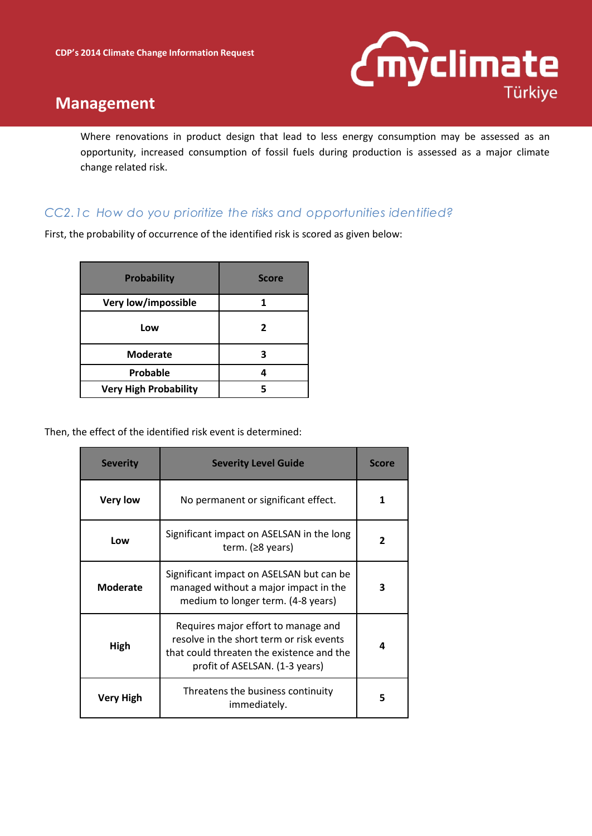

Where renovations in product design that lead to less energy consumption may be assessed as an opportunity, increased consumption of fossil fuels during production is assessed as a major climate change related risk.

#### *CC2.1c How do you prioritize the risks and opportunities identified?*

First, the probability of occurrence of the identified risk is scored as given below:

| <b>Probability</b>           | <b>Score</b> |
|------------------------------|--------------|
| Very low/impossible          |              |
| Low                          | 2            |
| <b>Moderate</b>              | 3            |
| Probable                     |              |
| <b>Very High Probability</b> |              |

Then, the effect of the identified risk event is determined:

| <b>Severity</b>  | <b>Severity Level Guide</b>                                                                                                                                    | <b>Score</b> |
|------------------|----------------------------------------------------------------------------------------------------------------------------------------------------------------|--------------|
| <b>Very low</b>  | No permanent or significant effect.                                                                                                                            |              |
| Low              | Significant impact on ASELSAN in the long<br>term. $(28 \text{ years})$                                                                                        | 2            |
| Moderate         | Significant impact on ASELSAN but can be<br>managed without a major impact in the<br>medium to longer term. (4-8 years)                                        | 3            |
| High             | Requires major effort to manage and<br>resolve in the short term or risk events<br>that could threaten the existence and the<br>profit of ASELSAN. (1-3 years) | Δ            |
| <b>Very High</b> | Threatens the business continuity<br>immediately.                                                                                                              | 5            |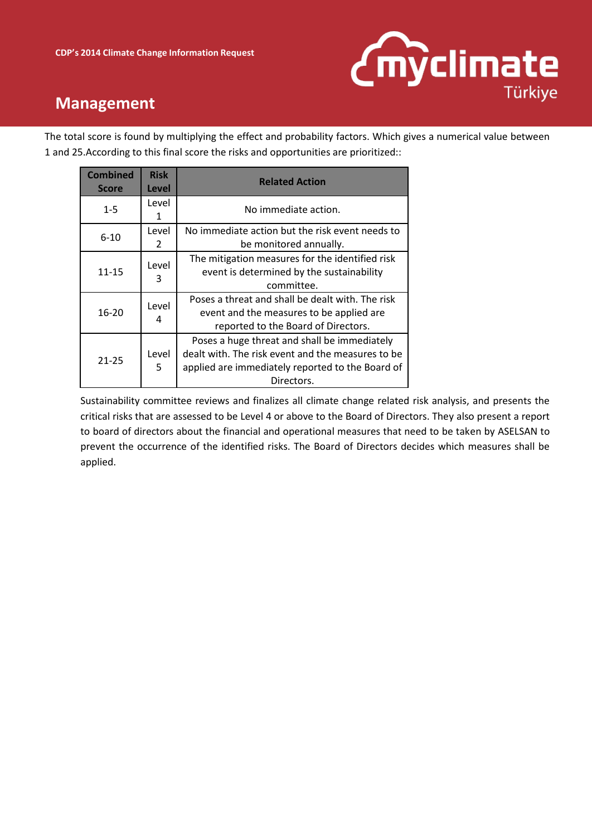

The total score is found by multiplying the effect and probability factors. Which gives a numerical value between 1 and 25.According to this final score the risks and opportunities are prioritized::

| <b>Combined</b><br><b>Score</b> | <b>Risk</b><br>Level | <b>Related Action</b>                                                                                                                                               |  |  |  |
|---------------------------------|----------------------|---------------------------------------------------------------------------------------------------------------------------------------------------------------------|--|--|--|
| $1 - 5$                         | Level<br>1           | No immediate action.                                                                                                                                                |  |  |  |
| $6 - 10$                        | Level<br>2           | No immediate action but the risk event needs to<br>be monitored annually.                                                                                           |  |  |  |
| 11-15                           | Level<br>3           | The mitigation measures for the identified risk<br>event is determined by the sustainability<br>committee.                                                          |  |  |  |
| $16 - 20$                       | Level<br>4           | Poses a threat and shall be dealt with. The risk<br>event and the measures to be applied are<br>reported to the Board of Directors.                                 |  |  |  |
| $21 - 25$                       | Level<br>5           | Poses a huge threat and shall be immediately<br>dealt with. The risk event and the measures to be<br>applied are immediately reported to the Board of<br>Directors. |  |  |  |

Sustainability committee reviews and finalizes all climate change related risk analysis, and presents the critical risks that are assessed to be Level 4 or above to the Board of Directors. They also present a report to board of directors about the financial and operational measures that need to be taken by ASELSAN to prevent the occurrence of the identified risks. The Board of Directors decides which measures shall be applied.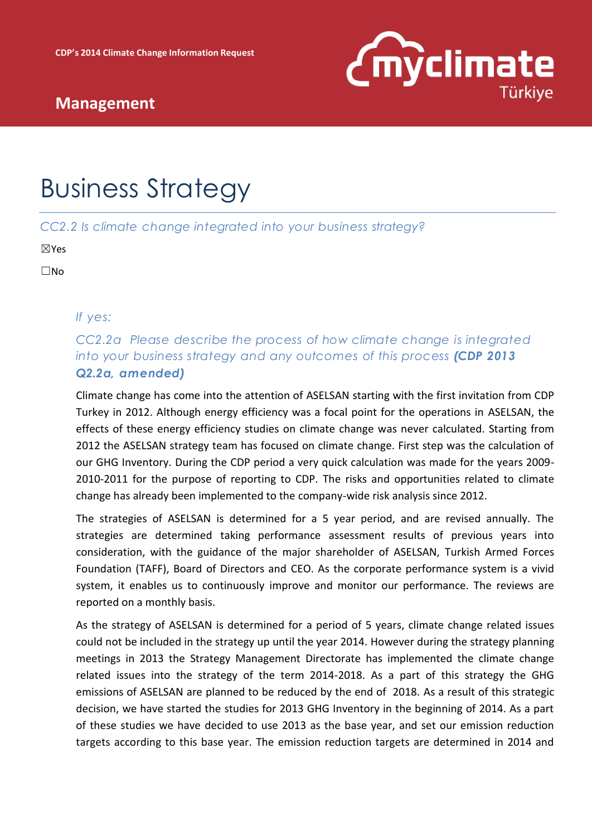

# Business Strategy

*CC2.2 Is climate change integrated into your business strategy?*

☒Yes

☐No

*If yes:* 

*CC2.2a Please describe the process of how climate change is integrated into your business strategy and any outcomes of this process (CDP 2013 Q2.2a, amended)*

Climate change has come into the attention of ASELSAN starting with the first invitation from CDP Turkey in 2012. Although energy efficiency was a focal point for the operations in ASELSAN, the effects of these energy efficiency studies on climate change was never calculated. Starting from 2012 the ASELSAN strategy team has focused on climate change. First step was the calculation of our GHG Inventory. During the CDP period a very quick calculation was made for the years 2009- 2010-2011 for the purpose of reporting to CDP. The risks and opportunities related to climate change has already been implemented to the company-wide risk analysis since 2012.

The strategies of ASELSAN is determined for a 5 year period, and are revised annually. The strategies are determined taking performance assessment results of previous years into consideration, with the guidance of the major shareholder of ASELSAN, Turkish Armed Forces Foundation (TAFF), Board of Directors and CEO. As the corporate performance system is a vivid system, it enables us to continuously improve and monitor our performance. The reviews are reported on a monthly basis.

As the strategy of ASELSAN is determined for a period of 5 years, climate change related issues could not be included in the strategy up until the year 2014. However during the strategy planning meetings in 2013 the Strategy Management Directorate has implemented the climate change related issues into the strategy of the term 2014-2018. As a part of this strategy the GHG emissions of ASELSAN are planned to be reduced by the end of 2018. As a result of this strategic decision, we have started the studies for 2013 GHG Inventory in the beginning of 2014. As a part of these studies we have decided to use 2013 as the base year, and set our emission reduction targets according to this base year. The emission reduction targets are determined in 2014 and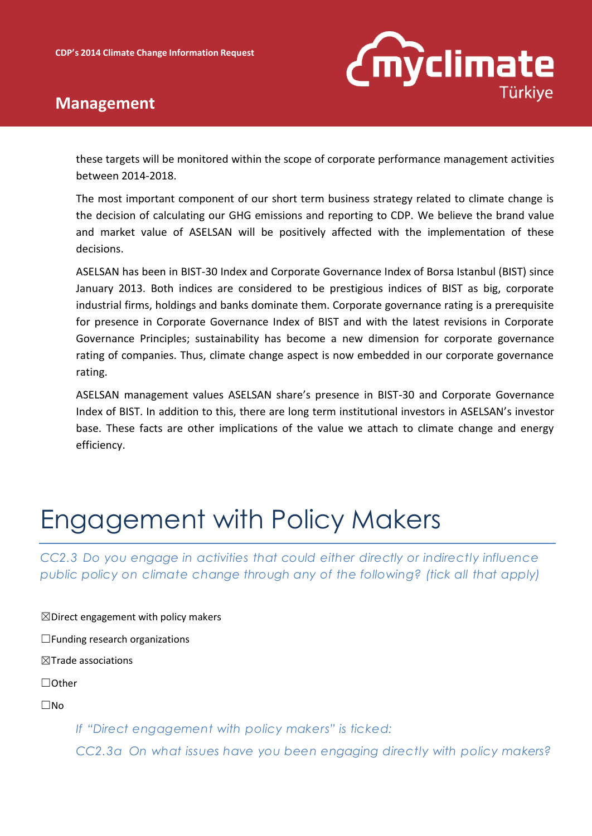

 $\boxtimes$  Direct engagement with policy makers

these targets will be monitored within the scope of corporate performance management activities between 2014-2018.

The most important component of our short term business strategy related to climate change is the decision of calculating our GHG emissions and reporting to CDP. We believe the brand value and market value of ASELSAN will be positively affected with the implementation of these decisions.

ASELSAN has been in BIST-30 Index and Corporate Governance Index of Borsa Istanbul (BIST) since January 2013. Both indices are considered to be prestigious indices of BIST as big, corporate industrial firms, holdings and banks dominate them. Corporate governance rating is a prerequisite for presence in Corporate Governance Index of BIST and with the latest revisions in Corporate Governance Principles; sustainability has become a new dimension for corporate governance rating of companies. Thus, climate change aspect is now embedded in our corporate governance rating.

ASELSAN management values ASELSAN share's presence in BIST-30 and Corporate Governance Index of BIST. In addition to this, there are long term institutional investors in ASELSAN's investor base. These facts are other implications of the value we attach to climate change and energy efficiency.

# Engagement with Policy Makers

*CC2.3 Do you engage in activities that could either directly or indirectly influence public policy on climate change through any of the following? (tick all that apply)*

☐Funding research organizations ☒Trade associations ☐Other ☐No *If "Direct engagement with policy makers" is ticked:*

*CC2.3a On what issues have you been engaging directly with policy makers?*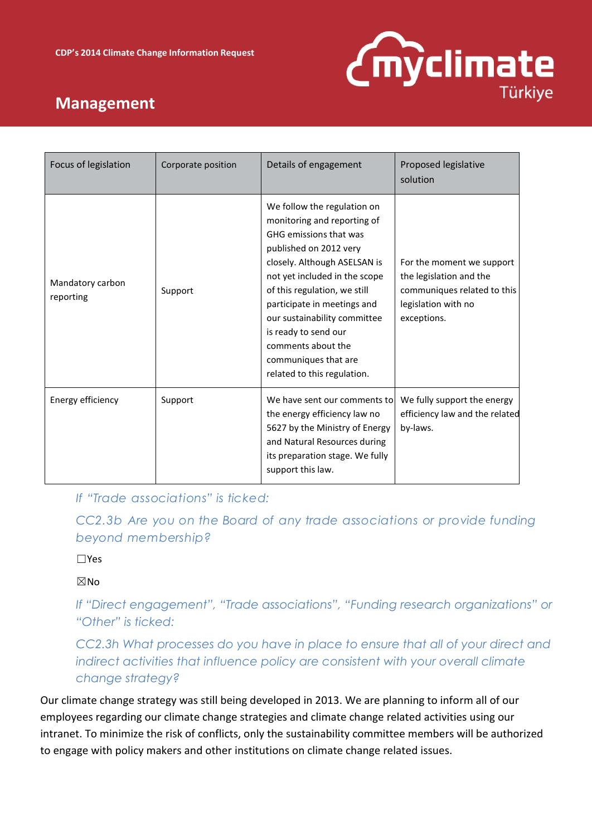

| Focus of legislation          | Corporate position | Details of engagement                                                                                                                                                                                                                                                                                                                                                               | Proposed legislative<br>solution                                                                                          |
|-------------------------------|--------------------|-------------------------------------------------------------------------------------------------------------------------------------------------------------------------------------------------------------------------------------------------------------------------------------------------------------------------------------------------------------------------------------|---------------------------------------------------------------------------------------------------------------------------|
| Mandatory carbon<br>reporting | Support            | We follow the regulation on<br>monitoring and reporting of<br>GHG emissions that was<br>published on 2012 very<br>closely. Although ASELSAN is<br>not yet included in the scope<br>of this regulation, we still<br>participate in meetings and<br>our sustainability committee<br>is ready to send our<br>comments about the<br>communiques that are<br>related to this regulation. | For the moment we support<br>the legislation and the<br>communiques related to this<br>legislation with no<br>exceptions. |
| Energy efficiency             | Support            | We have sent our comments to<br>the energy efficiency law no<br>5627 by the Ministry of Energy<br>and Natural Resources during<br>its preparation stage. We fully<br>support this law.                                                                                                                                                                                              | We fully support the energy<br>efficiency law and the related<br>by-laws.                                                 |

*If "Trade associations" is ticked:*

*CC2.3b Are you on the Board of any trade associations or provide funding beyond membership?*

☐Yes

☒No

*If "Direct engagement", "Trade associations", "Funding research organizations" or "Other" is ticked:*

*CC2.3h What processes do you have in place to ensure that all of your direct and indirect activities that influence policy are consistent with your overall climate change strategy?*

Our climate change strategy was still being developed in 2013. We are planning to inform all of our employees regarding our climate change strategies and climate change related activities using our intranet. To minimize the risk of conflicts, only the sustainability committee members will be authorized to engage with policy makers and other institutions on climate change related issues.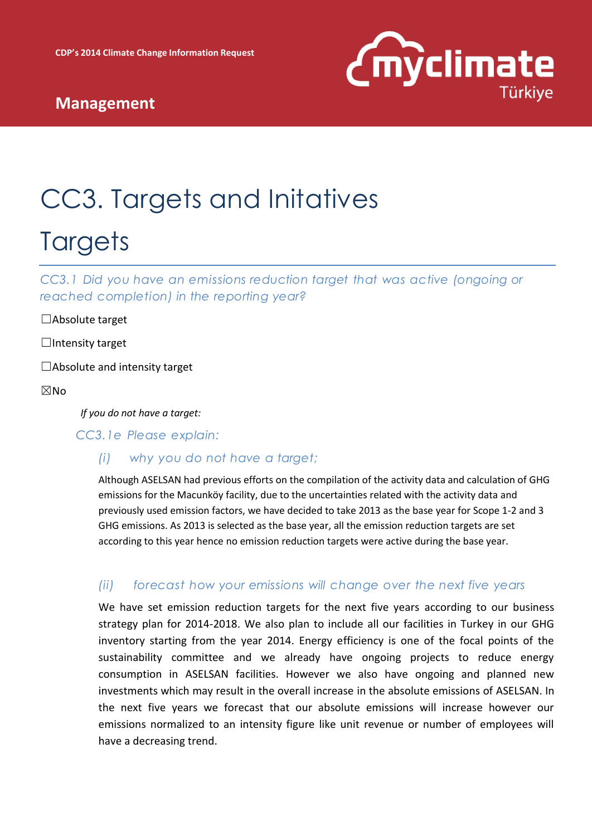

# CC3. Targets and Initatives **Targets**

*CC3.1 Did you have an emissions reduction target that was active (ongoing or reached completion) in the reporting year?*

☐Absolute target

□Intensity target

 $\Box$ Absolute and intensity target

#### ☒No

*If you do not have a target:*

*CC3.1e Please explain:*

#### *(i) why you do not have a target;*

Although ASELSAN had previous efforts on the compilation of the activity data and calculation of GHG emissions for the Macunköy facility, due to the uncertainties related with the activity data and previously used emission factors, we have decided to take 2013 as the base year for Scope 1-2 and 3 GHG emissions. As 2013 is selected as the base year, all the emission reduction targets are set according to this year hence no emission reduction targets were active during the base year.

#### *(ii) forecast how your emissions will change over the next five years*

We have set emission reduction targets for the next five years according to our business strategy plan for 2014-2018. We also plan to include all our facilities in Turkey in our GHG inventory starting from the year 2014. Energy efficiency is one of the focal points of the sustainability committee and we already have ongoing projects to reduce energy consumption in ASELSAN facilities. However we also have ongoing and planned new investments which may result in the overall increase in the absolute emissions of ASELSAN. In the next five years we forecast that our absolute emissions will increase however our emissions normalized to an intensity figure like unit revenue or number of employees will have a decreasing trend.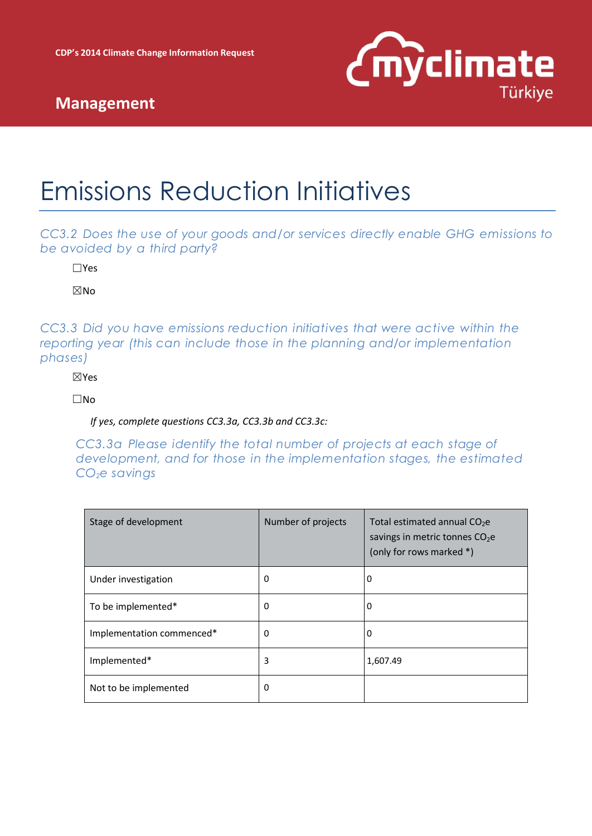

# Emissions Reduction Initiatives

*CC3.2 Does the use of your goods and/or services directly enable GHG emissions to be avoided by a third party?*

☐Yes

☒No

*CC3.3 Did you have emissions reduction initiatives that were active within the reporting year (this can include those in the planning and/or implementation phases)*

☒Yes

☐No

*If yes, complete questions CC3.3a, CC3.3b and CC3.3c:*

*CC3.3a Please identify the total number of projects at each stage of development, and for those in the implementation stages, the estimated CO2e savings*

| Stage of development      | Number of projects | Total estimated annual $CO2e$<br>savings in metric tonnes $CO2e$<br>(only for rows marked *) |
|---------------------------|--------------------|----------------------------------------------------------------------------------------------|
| Under investigation       | 0                  | 0                                                                                            |
| To be implemented*        | 0                  | 0                                                                                            |
| Implementation commenced* | 0                  | 0                                                                                            |
| Implemented*              | 3                  | 1,607.49                                                                                     |
| Not to be implemented     | 0                  |                                                                                              |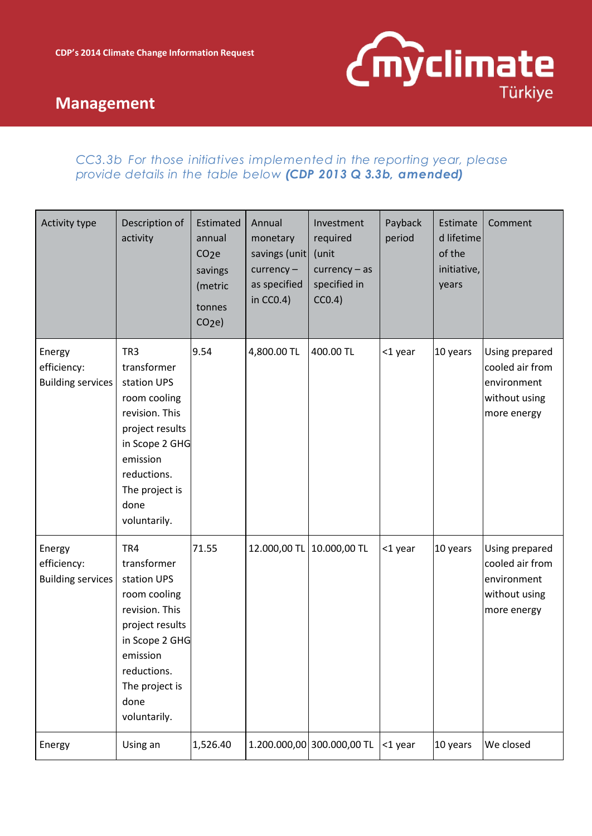

### *CC3.3b For those initiatives implemented in the reporting year, please provide details in the table below (CDP 2013 Q 3.3b, amended)*

| Activity type                                     | Description of<br>activity                                                                                                                                                                | Estimated<br>annual<br>CO <sub>2</sub> e<br>savings<br>(metric<br>tonnes<br>CO <sub>2</sub> e | Annual<br>monetary<br>savings (unit<br>$curve$ ncy $-$<br>as specified<br>in $CC0.4$ ) | Investment<br>required<br>(unit<br>$curve$ ncy – as<br>specified in<br>CC0.4) | Payback<br>period | Estimate<br>d lifetime<br>of the<br>initiative,<br>years | Comment                                                                          |
|---------------------------------------------------|-------------------------------------------------------------------------------------------------------------------------------------------------------------------------------------------|-----------------------------------------------------------------------------------------------|----------------------------------------------------------------------------------------|-------------------------------------------------------------------------------|-------------------|----------------------------------------------------------|----------------------------------------------------------------------------------|
| Energy<br>efficiency:<br><b>Building services</b> | TR <sub>3</sub><br>transformer<br>station UPS<br>room cooling<br>revision. This<br>project results<br>in Scope 2 GHG<br>emission<br>reductions.<br>The project is<br>done<br>voluntarily. | 9.54                                                                                          | 4,800.00 TL                                                                            | 400.00 TL                                                                     | <1 year           | 10 years                                                 | Using prepared<br>cooled air from<br>environment<br>without using<br>more energy |
| Energy<br>efficiency:<br><b>Building services</b> | TR4<br>transformer<br>station UPS<br>room cooling<br>revision. This<br>project results<br>in Scope 2 GHG<br>emission<br>reductions.<br>The project is<br>done<br>voluntarily.             | 71.55                                                                                         | 12.000,00 TL                                                                           | 10.000,00 TL                                                                  | <1 year           | 10 years                                                 | Using prepared<br>cooled air from<br>environment<br>without using<br>more energy |
| Energy                                            | Using an                                                                                                                                                                                  | 1,526.40                                                                                      |                                                                                        | 1.200.000,00 300.000,00 TL                                                    | <1 year           | 10 years                                                 | We closed                                                                        |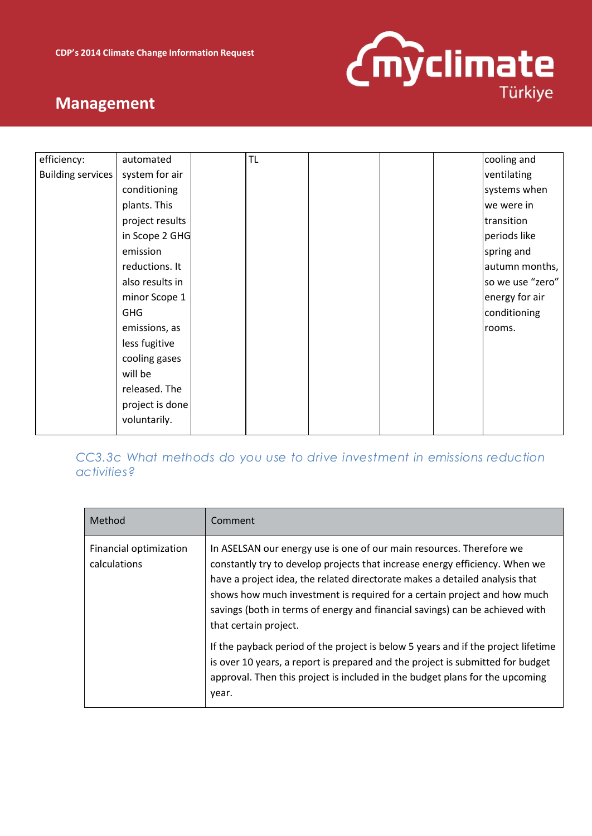

| efficiency:              | automated       | <b>TL</b> |  | cooling and      |
|--------------------------|-----------------|-----------|--|------------------|
|                          |                 |           |  |                  |
| <b>Building services</b> | system for air  |           |  | ventilating      |
|                          | conditioning    |           |  | systems when     |
|                          | plants. This    |           |  | we were in       |
|                          | project results |           |  | transition       |
|                          | in Scope 2 GHG  |           |  | periods like     |
|                          | emission        |           |  | spring and       |
|                          | reductions. It  |           |  | autumn months,   |
|                          | also results in |           |  | so we use "zero" |
|                          | minor Scope 1   |           |  | energy for air   |
|                          | <b>GHG</b>      |           |  | conditioning     |
|                          | emissions, as   |           |  | rooms.           |
|                          | less fugitive   |           |  |                  |
|                          | cooling gases   |           |  |                  |
|                          | will be         |           |  |                  |
|                          | released. The   |           |  |                  |
|                          | project is done |           |  |                  |
|                          | voluntarily.    |           |  |                  |
|                          |                 |           |  |                  |

### *CC3.3c What methods do you use to drive investment in emissions reduction activities?*

| Method                                 | Comment                                                                                                                                                                                                                                                                                                                                                                                                                 |
|----------------------------------------|-------------------------------------------------------------------------------------------------------------------------------------------------------------------------------------------------------------------------------------------------------------------------------------------------------------------------------------------------------------------------------------------------------------------------|
| Financial optimization<br>calculations | In ASELSAN our energy use is one of our main resources. Therefore we<br>constantly try to develop projects that increase energy efficiency. When we<br>have a project idea, the related directorate makes a detailed analysis that<br>shows how much investment is required for a certain project and how much<br>savings (both in terms of energy and financial savings) can be achieved with<br>that certain project. |
|                                        | If the payback period of the project is below 5 years and if the project lifetime<br>is over 10 years, a report is prepared and the project is submitted for budget<br>approval. Then this project is included in the budget plans for the upcoming<br>year.                                                                                                                                                            |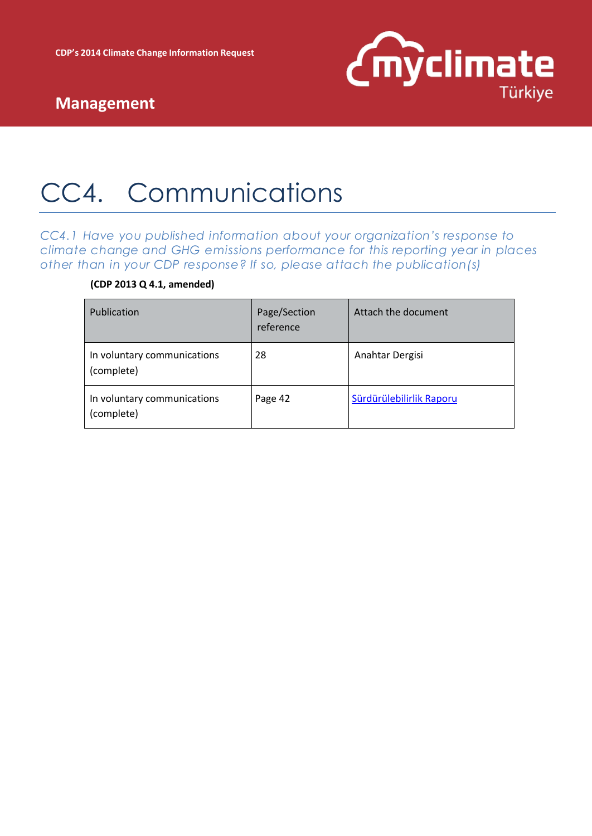

# CC4. Communications

*CC4.1 Have you published information about your organization's response to climate change and GHG emissions performance for this reporting year in places other than in your CDP response? If so, please attach the publication(s)*

### **(CDP 2013 Q 4.1, amended)**

| Publication                               | Page/Section<br>reference | Attach the document      |
|-------------------------------------------|---------------------------|--------------------------|
| In voluntary communications<br>(complete) | 28                        | Anahtar Dergisi          |
| In voluntary communications<br>(complete) | Page 42                   | Sürdürülebilirlik Raporu |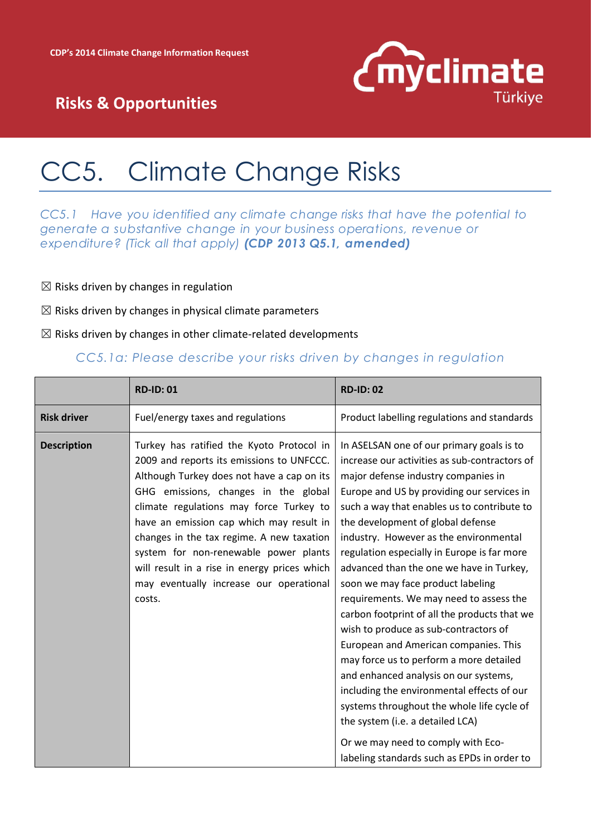

# CC5. Climate Change Risks

*CC5.1 Have you identified any climate change risks that have the potential to generate a substantive change in your business operations, revenue or expenditure? (Tick all that apply) (CDP 2013 Q5.1, amended)*

- $\boxtimes$  Risks driven by changes in regulation
- $\boxtimes$  Risks driven by changes in physical climate parameters
- $\boxtimes$  Risks driven by changes in other climate-related developments

#### *CC5.1a: Please describe your risks driven by changes in regulation*

|                    | <b>RD-ID: 01</b>                                                                                                                                                                                                                                                                                                                                                                                                                                               | <b>RD-ID: 02</b>                                                                                                                                                                                                                                                                                                                                                                                                                                                                                                                                                                                                                                                                                                                                                                                                                                                                                                                    |
|--------------------|----------------------------------------------------------------------------------------------------------------------------------------------------------------------------------------------------------------------------------------------------------------------------------------------------------------------------------------------------------------------------------------------------------------------------------------------------------------|-------------------------------------------------------------------------------------------------------------------------------------------------------------------------------------------------------------------------------------------------------------------------------------------------------------------------------------------------------------------------------------------------------------------------------------------------------------------------------------------------------------------------------------------------------------------------------------------------------------------------------------------------------------------------------------------------------------------------------------------------------------------------------------------------------------------------------------------------------------------------------------------------------------------------------------|
| <b>Risk driver</b> | Fuel/energy taxes and regulations                                                                                                                                                                                                                                                                                                                                                                                                                              | Product labelling regulations and standards                                                                                                                                                                                                                                                                                                                                                                                                                                                                                                                                                                                                                                                                                                                                                                                                                                                                                         |
| <b>Description</b> | Turkey has ratified the Kyoto Protocol in<br>2009 and reports its emissions to UNFCCC.<br>Although Turkey does not have a cap on its<br>GHG emissions, changes in the global<br>climate regulations may force Turkey to<br>have an emission cap which may result in<br>changes in the tax regime. A new taxation<br>system for non-renewable power plants<br>will result in a rise in energy prices which<br>may eventually increase our operational<br>costs. | In ASELSAN one of our primary goals is to<br>increase our activities as sub-contractors of<br>major defense industry companies in<br>Europe and US by providing our services in<br>such a way that enables us to contribute to<br>the development of global defense<br>industry. However as the environmental<br>regulation especially in Europe is far more<br>advanced than the one we have in Turkey,<br>soon we may face product labeling<br>requirements. We may need to assess the<br>carbon footprint of all the products that we<br>wish to produce as sub-contractors of<br>European and American companies. This<br>may force us to perform a more detailed<br>and enhanced analysis on our systems,<br>including the environmental effects of our<br>systems throughout the whole life cycle of<br>the system (i.e. a detailed LCA)<br>Or we may need to comply with Eco-<br>labeling standards such as EPDs in order to |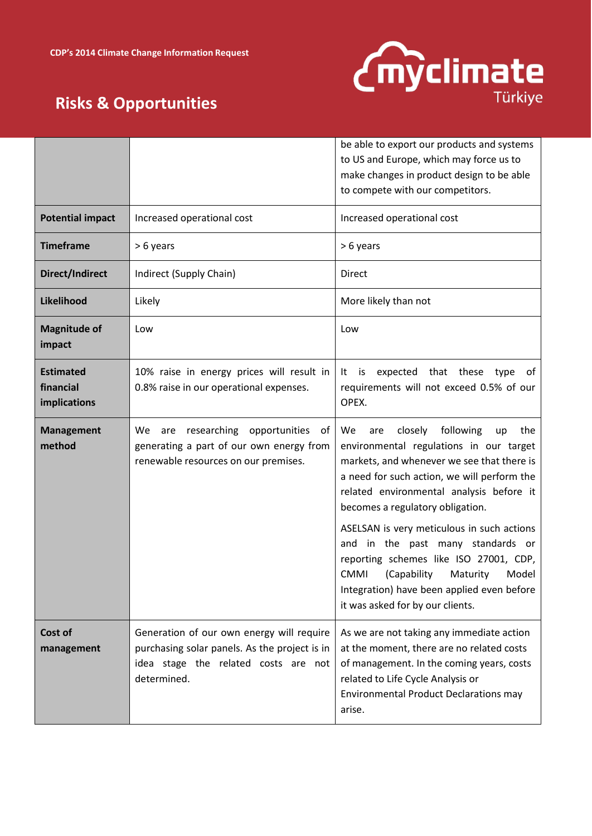

|                                               |                                                                                                                                                   | be able to export our products and systems<br>to US and Europe, which may force us to<br>make changes in product design to be able<br>to compete with our competitors.                                                                                                                                                                                                                                                                                                                                                                   |
|-----------------------------------------------|---------------------------------------------------------------------------------------------------------------------------------------------------|------------------------------------------------------------------------------------------------------------------------------------------------------------------------------------------------------------------------------------------------------------------------------------------------------------------------------------------------------------------------------------------------------------------------------------------------------------------------------------------------------------------------------------------|
| <b>Potential impact</b>                       | Increased operational cost                                                                                                                        | Increased operational cost                                                                                                                                                                                                                                                                                                                                                                                                                                                                                                               |
| <b>Timeframe</b>                              | > 6 years                                                                                                                                         | > 6 years                                                                                                                                                                                                                                                                                                                                                                                                                                                                                                                                |
| Direct/Indirect                               | Indirect (Supply Chain)                                                                                                                           | Direct                                                                                                                                                                                                                                                                                                                                                                                                                                                                                                                                   |
| Likelihood                                    | Likely                                                                                                                                            | More likely than not                                                                                                                                                                                                                                                                                                                                                                                                                                                                                                                     |
| <b>Magnitude of</b><br>impact                 | Low                                                                                                                                               | Low                                                                                                                                                                                                                                                                                                                                                                                                                                                                                                                                      |
| <b>Estimated</b><br>financial<br>implications | 10% raise in energy prices will result in<br>0.8% raise in our operational expenses.                                                              | expected that these type<br>It<br>is<br>of .<br>requirements will not exceed 0.5% of our<br>OPEX.                                                                                                                                                                                                                                                                                                                                                                                                                                        |
| <b>Management</b><br>method                   | researching opportunities<br>We<br>are<br>of<br>generating a part of our own energy from<br>renewable resources on our premises.                  | following<br>closely<br>We<br>the<br>are<br>up<br>environmental regulations in our target<br>markets, and whenever we see that there is<br>a need for such action, we will perform the<br>related environmental analysis before it<br>becomes a regulatory obligation.<br>ASELSAN is very meticulous in such actions<br>and in the past many standards or<br>reporting schemes like ISO 27001, CDP,<br><b>CMMI</b><br>(Capability<br>Maturity<br>Model<br>Integration) have been applied even before<br>it was asked for by our clients. |
| Cost of<br>management                         | Generation of our own energy will require<br>purchasing solar panels. As the project is in<br>idea stage the related costs are not<br>determined. | As we are not taking any immediate action<br>at the moment, there are no related costs<br>of management. In the coming years, costs<br>related to Life Cycle Analysis or<br><b>Environmental Product Declarations may</b><br>arise.                                                                                                                                                                                                                                                                                                      |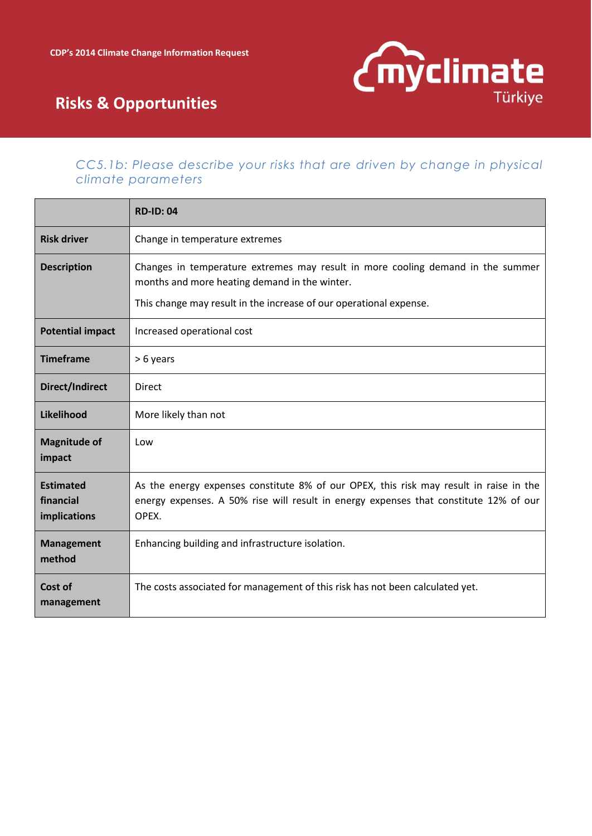

### *CC5.1b: Please describe your risks that are driven by change in physical climate parameters*

|                                               | <b>RD-ID: 04</b>                                                                                                                                                                                       |
|-----------------------------------------------|--------------------------------------------------------------------------------------------------------------------------------------------------------------------------------------------------------|
| <b>Risk driver</b>                            | Change in temperature extremes                                                                                                                                                                         |
| <b>Description</b>                            | Changes in temperature extremes may result in more cooling demand in the summer<br>months and more heating demand in the winter.<br>This change may result in the increase of our operational expense. |
|                                               |                                                                                                                                                                                                        |
| <b>Potential impact</b>                       | Increased operational cost                                                                                                                                                                             |
| <b>Timeframe</b>                              | > 6 years                                                                                                                                                                                              |
| <b>Direct/Indirect</b>                        | <b>Direct</b>                                                                                                                                                                                          |
| Likelihood                                    | More likely than not                                                                                                                                                                                   |
| <b>Magnitude of</b><br>impact                 | Low                                                                                                                                                                                                    |
| <b>Estimated</b><br>financial<br>implications | As the energy expenses constitute 8% of our OPEX, this risk may result in raise in the<br>energy expenses. A 50% rise will result in energy expenses that constitute 12% of our<br>OPEX.               |
| <b>Management</b><br>method                   | Enhancing building and infrastructure isolation.                                                                                                                                                       |
| Cost of<br>management                         | The costs associated for management of this risk has not been calculated yet.                                                                                                                          |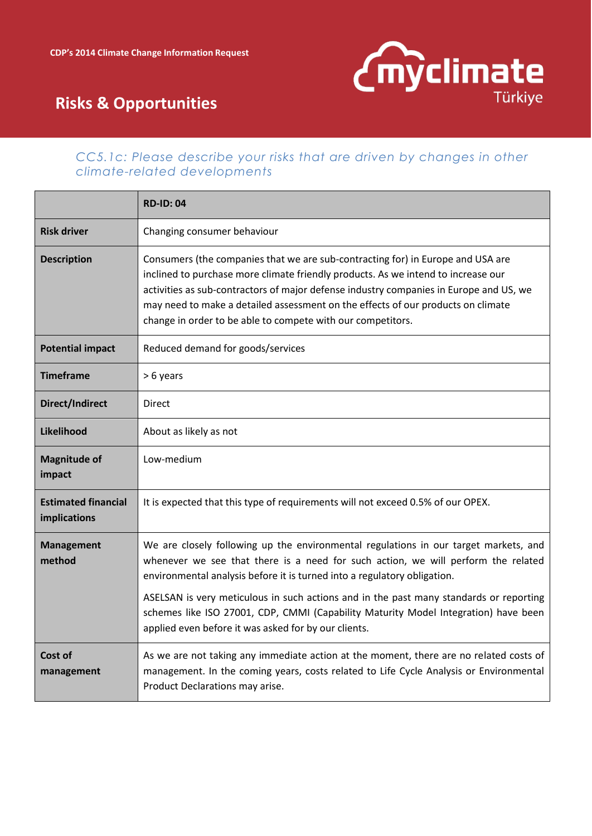

#### *CC5.1c: Please describe your risks that are driven by changes in other climate-related developments*

|                                            | <b>RD-ID: 04</b>                                                                                                                                                                                                                                                                                                                                                                                                  |
|--------------------------------------------|-------------------------------------------------------------------------------------------------------------------------------------------------------------------------------------------------------------------------------------------------------------------------------------------------------------------------------------------------------------------------------------------------------------------|
| <b>Risk driver</b>                         | Changing consumer behaviour                                                                                                                                                                                                                                                                                                                                                                                       |
| <b>Description</b>                         | Consumers (the companies that we are sub-contracting for) in Europe and USA are<br>inclined to purchase more climate friendly products. As we intend to increase our<br>activities as sub-contractors of major defense industry companies in Europe and US, we<br>may need to make a detailed assessment on the effects of our products on climate<br>change in order to be able to compete with our competitors. |
| <b>Potential impact</b>                    | Reduced demand for goods/services                                                                                                                                                                                                                                                                                                                                                                                 |
| <b>Timeframe</b>                           | > 6 years                                                                                                                                                                                                                                                                                                                                                                                                         |
| Direct/Indirect                            | Direct                                                                                                                                                                                                                                                                                                                                                                                                            |
| Likelihood                                 | About as likely as not                                                                                                                                                                                                                                                                                                                                                                                            |
| <b>Magnitude of</b><br>impact              | Low-medium                                                                                                                                                                                                                                                                                                                                                                                                        |
| <b>Estimated financial</b><br>implications | It is expected that this type of requirements will not exceed 0.5% of our OPEX.                                                                                                                                                                                                                                                                                                                                   |
| <b>Management</b><br>method                | We are closely following up the environmental regulations in our target markets, and<br>whenever we see that there is a need for such action, we will perform the related<br>environmental analysis before it is turned into a regulatory obligation.                                                                                                                                                             |
|                                            | ASELSAN is very meticulous in such actions and in the past many standards or reporting<br>schemes like ISO 27001, CDP, CMMI (Capability Maturity Model Integration) have been<br>applied even before it was asked for by our clients.                                                                                                                                                                             |
| Cost of<br>management                      | As we are not taking any immediate action at the moment, there are no related costs of<br>management. In the coming years, costs related to Life Cycle Analysis or Environmental<br>Product Declarations may arise.                                                                                                                                                                                               |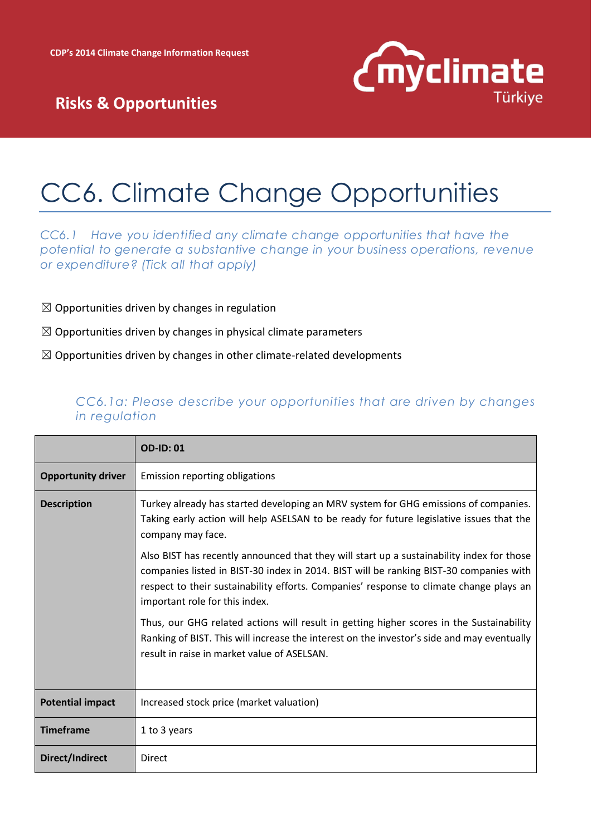

# CC6. Climate Change Opportunities

*CC6.1 Have you identified any climate change opportunities that have the potential to generate a substantive change in your business operations, revenue or expenditure? (Tick all that apply)*

- $\boxtimes$  Opportunities driven by changes in regulation
- $\boxtimes$  Opportunities driven by changes in physical climate parameters
- $\boxtimes$  Opportunities driven by changes in other climate-related developments

#### *CC6.1a: Please describe your opportunities that are driven by changes in regulation*

|                           | <b>OD-ID: 01</b>                                                                                                                                                                                                                                                                                                 |
|---------------------------|------------------------------------------------------------------------------------------------------------------------------------------------------------------------------------------------------------------------------------------------------------------------------------------------------------------|
| <b>Opportunity driver</b> | Emission reporting obligations                                                                                                                                                                                                                                                                                   |
| <b>Description</b>        | Turkey already has started developing an MRV system for GHG emissions of companies.<br>Taking early action will help ASELSAN to be ready for future legislative issues that the<br>company may face.                                                                                                             |
|                           | Also BIST has recently announced that they will start up a sustainability index for those<br>companies listed in BIST-30 index in 2014. BIST will be ranking BIST-30 companies with<br>respect to their sustainability efforts. Companies' response to climate change plays an<br>important role for this index. |
|                           | Thus, our GHG related actions will result in getting higher scores in the Sustainability<br>Ranking of BIST. This will increase the interest on the investor's side and may eventually<br>result in raise in market value of ASELSAN.                                                                            |
| <b>Potential impact</b>   | Increased stock price (market valuation)                                                                                                                                                                                                                                                                         |
| <b>Timeframe</b>          | 1 to 3 years                                                                                                                                                                                                                                                                                                     |
| <b>Direct/Indirect</b>    | Direct                                                                                                                                                                                                                                                                                                           |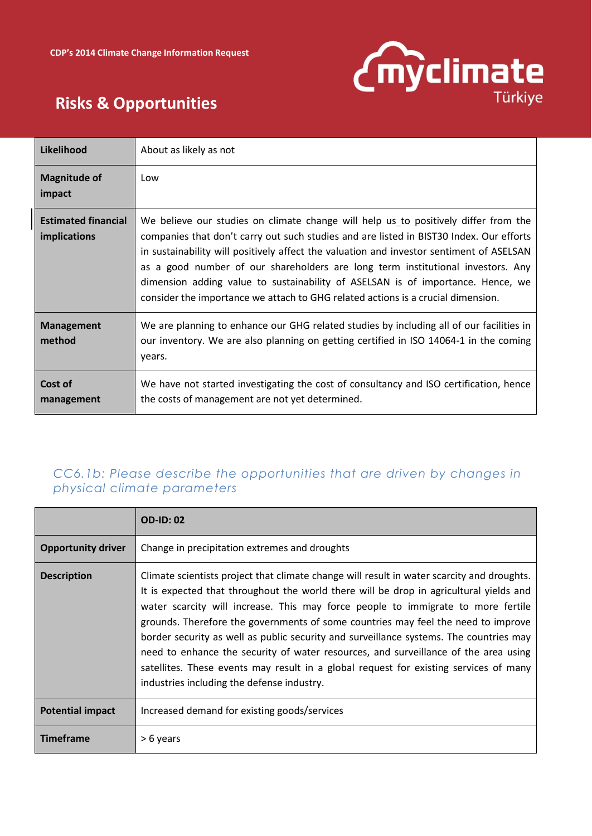

| Likelihood                                        | About as likely as not                                                                                                                                                                                                                                                                                                                                                                                                                                                                                                               |
|---------------------------------------------------|--------------------------------------------------------------------------------------------------------------------------------------------------------------------------------------------------------------------------------------------------------------------------------------------------------------------------------------------------------------------------------------------------------------------------------------------------------------------------------------------------------------------------------------|
| <b>Magnitude of</b><br>impact                     | Low                                                                                                                                                                                                                                                                                                                                                                                                                                                                                                                                  |
| <b>Estimated financial</b><br><b>implications</b> | We believe our studies on climate change will help us to positively differ from the<br>companies that don't carry out such studies and are listed in BIST30 Index. Our efforts<br>in sustainability will positively affect the valuation and investor sentiment of ASELSAN<br>as a good number of our shareholders are long term institutional investors. Any<br>dimension adding value to sustainability of ASELSAN is of importance. Hence, we<br>consider the importance we attach to GHG related actions is a crucial dimension. |
| <b>Management</b><br>method                       | We are planning to enhance our GHG related studies by including all of our facilities in<br>our inventory. We are also planning on getting certified in ISO 14064-1 in the coming<br>years.                                                                                                                                                                                                                                                                                                                                          |
| Cost of<br>management                             | We have not started investigating the cost of consultancy and ISO certification, hence<br>the costs of management are not yet determined.                                                                                                                                                                                                                                                                                                                                                                                            |

### *CC6.1b: Please describe the opportunities that are driven by changes in physical climate parameters*

|                           | <b>OD-ID: 02</b>                                                                                                                                                                                                                                                                                                                                                                                                                                                                                                                                                                                                                                                                      |
|---------------------------|---------------------------------------------------------------------------------------------------------------------------------------------------------------------------------------------------------------------------------------------------------------------------------------------------------------------------------------------------------------------------------------------------------------------------------------------------------------------------------------------------------------------------------------------------------------------------------------------------------------------------------------------------------------------------------------|
| <b>Opportunity driver</b> | Change in precipitation extremes and droughts                                                                                                                                                                                                                                                                                                                                                                                                                                                                                                                                                                                                                                         |
| <b>Description</b>        | Climate scientists project that climate change will result in water scarcity and droughts.<br>It is expected that throughout the world there will be drop in agricultural yields and<br>water scarcity will increase. This may force people to immigrate to more fertile<br>grounds. Therefore the governments of some countries may feel the need to improve<br>border security as well as public security and surveillance systems. The countries may<br>need to enhance the security of water resources, and surveillance of the area using<br>satellites. These events may result in a global request for existing services of many<br>industries including the defense industry. |
| <b>Potential impact</b>   | Increased demand for existing goods/services                                                                                                                                                                                                                                                                                                                                                                                                                                                                                                                                                                                                                                          |
| <b>Timeframe</b>          | > 6 years                                                                                                                                                                                                                                                                                                                                                                                                                                                                                                                                                                                                                                                                             |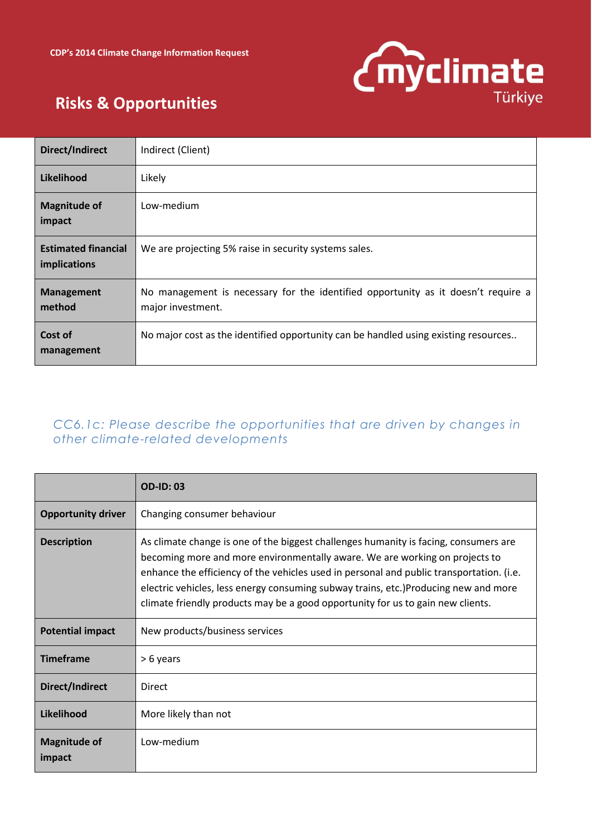

| <b>Direct/Indirect</b>                     | Indirect (Client)                                                                                      |
|--------------------------------------------|--------------------------------------------------------------------------------------------------------|
| Likelihood                                 | Likely                                                                                                 |
| <b>Magnitude of</b><br>impact              | Low-medium                                                                                             |
| <b>Estimated financial</b><br>implications | We are projecting 5% raise in security systems sales.                                                  |
| <b>Management</b><br>method                | No management is necessary for the identified opportunity as it doesn't require a<br>major investment. |
| Cost of<br>management                      | No major cost as the identified opportunity can be handled using existing resources                    |

### *CC6.1c: Please describe the opportunities that are driven by changes in other climate-related developments*

|                               | <b>OD-ID: 03</b>                                                                                                                                                                                                                                                                                                                                                                                                                          |
|-------------------------------|-------------------------------------------------------------------------------------------------------------------------------------------------------------------------------------------------------------------------------------------------------------------------------------------------------------------------------------------------------------------------------------------------------------------------------------------|
| <b>Opportunity driver</b>     | Changing consumer behaviour                                                                                                                                                                                                                                                                                                                                                                                                               |
| <b>Description</b>            | As climate change is one of the biggest challenges humanity is facing, consumers are<br>becoming more and more environmentally aware. We are working on projects to<br>enhance the efficiency of the vehicles used in personal and public transportation. (i.e.<br>electric vehicles, less energy consuming subway trains, etc.)Producing new and more<br>climate friendly products may be a good opportunity for us to gain new clients. |
| <b>Potential impact</b>       | New products/business services                                                                                                                                                                                                                                                                                                                                                                                                            |
| <b>Timeframe</b>              | $> 6$ years                                                                                                                                                                                                                                                                                                                                                                                                                               |
| Direct/Indirect               | Direct                                                                                                                                                                                                                                                                                                                                                                                                                                    |
| Likelihood                    | More likely than not                                                                                                                                                                                                                                                                                                                                                                                                                      |
| <b>Magnitude of</b><br>impact | Low-medium                                                                                                                                                                                                                                                                                                                                                                                                                                |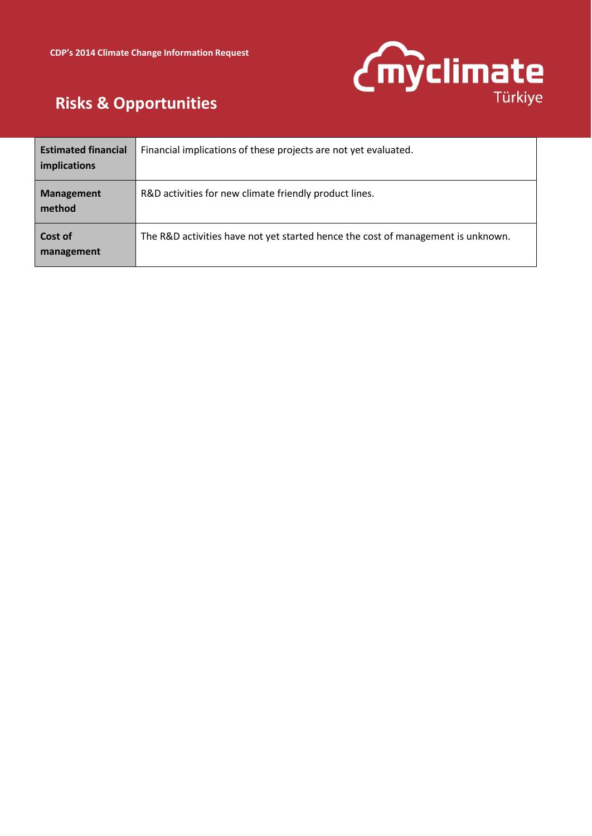

| <b>Estimated financial</b><br><i>implications</i> | Financial implications of these projects are not yet evaluated.                  |
|---------------------------------------------------|----------------------------------------------------------------------------------|
| <b>Management</b><br>method                       | R&D activities for new climate friendly product lines.                           |
| Cost of<br>management                             | The R&D activities have not yet started hence the cost of management is unknown. |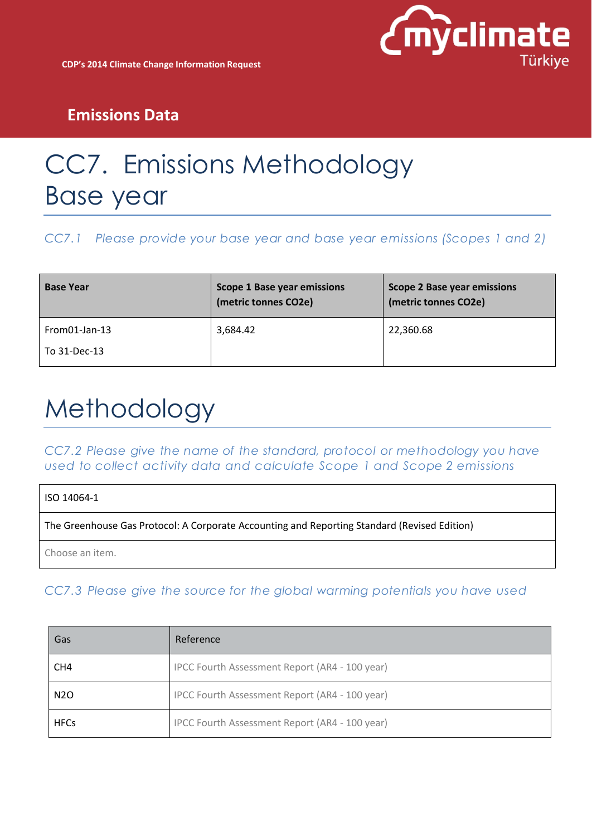

# CC7. Emissions Methodology Base year

*CC7.1 Please provide your base year and base year emissions (Scopes 1 and 2)*

| <b>Base Year</b> | <b>Scope 1 Base year emissions</b><br>(metric tonnes CO2e) | <b>Scope 2 Base year emissions</b><br>(metric tonnes CO2e) |
|------------------|------------------------------------------------------------|------------------------------------------------------------|
| $From 01-Jan-13$ | 3,684.42                                                   | 22,360.68                                                  |
| To 31-Dec-13     |                                                            |                                                            |

# Methodology

*CC7.2 Please give the name of the standard, protocol or methodology you have used to collect activity data and calculate Scope 1 and Scope 2 emissions*

| ISO 14064-1                                                                                  |  |
|----------------------------------------------------------------------------------------------|--|
| The Greenhouse Gas Protocol: A Corporate Accounting and Reporting Standard (Revised Edition) |  |
| Choose an item.                                                                              |  |

*CC7.3 Please give the source for the global warming potentials you have used*

| Gas              | Reference                                      |
|------------------|------------------------------------------------|
| CH <sub>4</sub>  | IPCC Fourth Assessment Report (AR4 - 100 year) |
| N <sub>2</sub> O | IPCC Fourth Assessment Report (AR4 - 100 year) |
| <b>HFCs</b>      | IPCC Fourth Assessment Report (AR4 - 100 year) |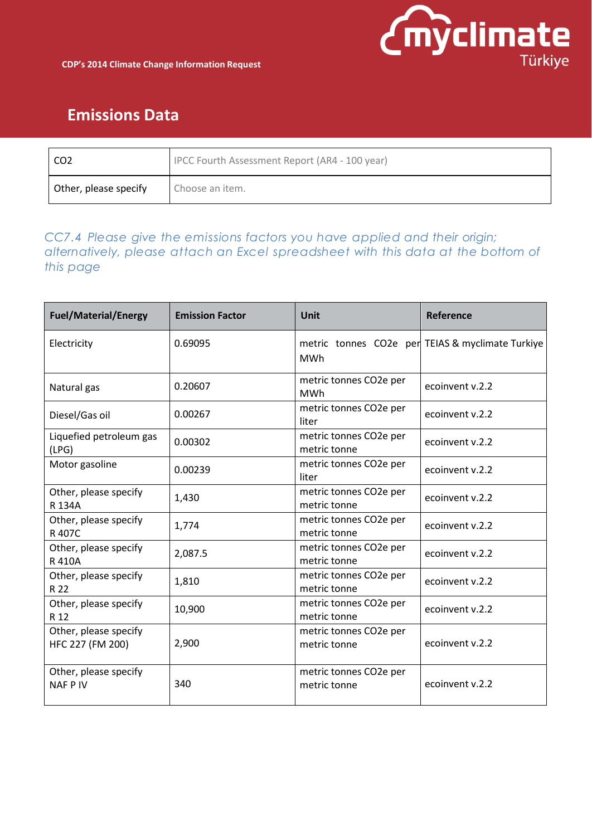

| CO <sub>2</sub>       | IPCC Fourth Assessment Report (AR4 - 100 year) |
|-----------------------|------------------------------------------------|
| Other, please specify | Choose an item.                                |

### *CC7.4 Please give the emissions factors you have applied and their origin; alternatively, please attach an Excel spreadsheet with this data at the bottom of this page*

| <b>Fuel/Material/Energy</b>               | <b>Emission Factor</b> | <b>Unit</b>                            | Reference                                        |
|-------------------------------------------|------------------------|----------------------------------------|--------------------------------------------------|
| Electricity                               | 0.69095                | <b>MWh</b>                             | metric tonnes CO2e per TEIAS & myclimate Turkiye |
| Natural gas                               | 0.20607                | metric tonnes CO2e per<br><b>MWh</b>   | ecoinvent v.2.2                                  |
| Diesel/Gas oil                            | 0.00267                | metric tonnes CO2e per<br>liter        | ecoinvent v.2.2                                  |
| Liquefied petroleum gas<br>(LPG)          | 0.00302                | metric tonnes CO2e per<br>metric tonne | ecoinvent v.2.2                                  |
| Motor gasoline                            | 0.00239                | metric tonnes CO2e per<br>liter        | ecoinvent v.2.2                                  |
| Other, please specify<br>R 134A           | 1,430                  | metric tonnes CO2e per<br>metric tonne | ecoinvent v.2.2                                  |
| Other, please specify<br>R 407C           | 1,774                  | metric tonnes CO2e per<br>metric tonne | ecoinvent v.2.2                                  |
| Other, please specify<br>R 410A           | 2,087.5                | metric tonnes CO2e per<br>metric tonne | ecoinvent v.2.2                                  |
| Other, please specify<br>R 22             | 1,810                  | metric tonnes CO2e per<br>metric tonne | ecoinvent v.2.2                                  |
| Other, please specify<br>R 12             | 10,900                 | metric tonnes CO2e per<br>metric tonne | ecoinvent v.2.2                                  |
| Other, please specify<br>HFC 227 (FM 200) | 2,900                  | metric tonnes CO2e per<br>metric tonne | ecoinvent v.2.2                                  |
| Other, please specify<br><b>NAFPIV</b>    | 340                    | metric tonnes CO2e per<br>metric tonne | ecoinvent v.2.2                                  |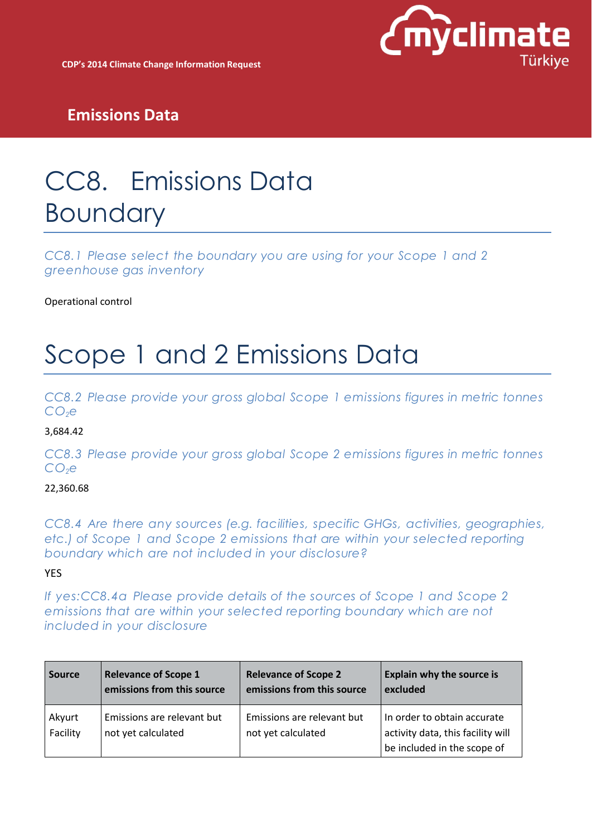

**CDP's 2014 Climate Change Information Request**

## **Emissions Data**

# CC8. Emissions Data Boundary

*CC8.1 Please select the boundary you are using for your Scope 1 and 2 greenhouse gas inventory*

Operational control

# Scope 1 and 2 Emissions Data

*CC8.2 Please provide your gross global Scope 1 emissions figures in metric tonnes CO2e*

#### 3,684.42

*CC8.3 Please provide your gross global Scope 2 emissions figures in metric tonnes CO2e*

#### 22,360.68

*CC8.4 Are there any sources (e.g. facilities, specific GHGs, activities, geographies, etc.) of Scope 1 and Scope 2 emissions that are within your selected reporting boundary which are not included in your disclosure?* 

#### YES

*If yes:CC8.4a Please provide details of the sources of Scope 1 and Scope 2 emissions that are within your selected reporting boundary which are not included in your disclosure*

| <b>Source</b>      | <b>Relevance of Scope 1</b>                      | <b>Relevance of Scope 2</b>                      | <b>Explain why the source is</b>                                                                |
|--------------------|--------------------------------------------------|--------------------------------------------------|-------------------------------------------------------------------------------------------------|
|                    | emissions from this source                       | emissions from this source                       | excluded                                                                                        |
| Akyurt<br>Facility | Emissions are relevant but<br>not yet calculated | Emissions are relevant but<br>not yet calculated | In order to obtain accurate<br>activity data, this facility will<br>be included in the scope of |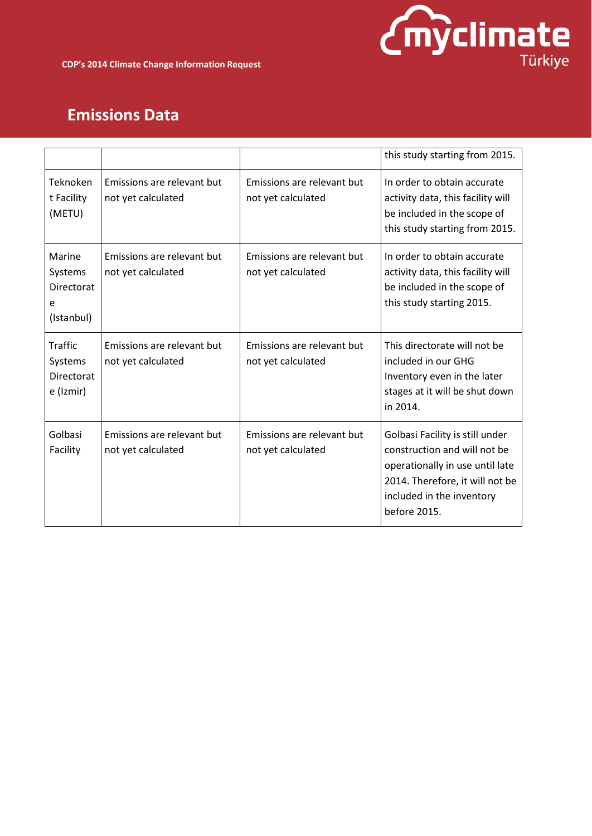

|                                                             |                                                  |                                                  | this study starting from 2015.                                                                                                                                                     |
|-------------------------------------------------------------|--------------------------------------------------|--------------------------------------------------|------------------------------------------------------------------------------------------------------------------------------------------------------------------------------------|
| Teknoken<br>t Facility<br>(METU)                            | Emissions are relevant but<br>not yet calculated | Emissions are relevant but<br>not yet calculated | In order to obtain accurate<br>activity data, this facility will<br>be included in the scope of<br>this study starting from 2015.                                                  |
| Marine<br>Systems<br><b>Directorat</b><br>e<br>(Istanbul)   | Emissions are relevant but<br>not yet calculated | Emissions are relevant but<br>not yet calculated | In order to obtain accurate<br>activity data, this facility will<br>be included in the scope of<br>this study starting 2015.                                                       |
| <b>Traffic</b><br>Systems<br><b>Directorat</b><br>e (Izmir) | Emissions are relevant but<br>not yet calculated | Emissions are relevant but<br>not yet calculated | This directorate will not be<br>included in our GHG<br>Inventory even in the later<br>stages at it will be shut down<br>in 2014.                                                   |
| Golbasi<br>Facility                                         | Emissions are relevant but<br>not yet calculated | Emissions are relevant but<br>not yet calculated | Golbasi Facility is still under<br>construction and will not be<br>operationally in use until late<br>2014. Therefore, it will not be<br>included in the inventory<br>before 2015. |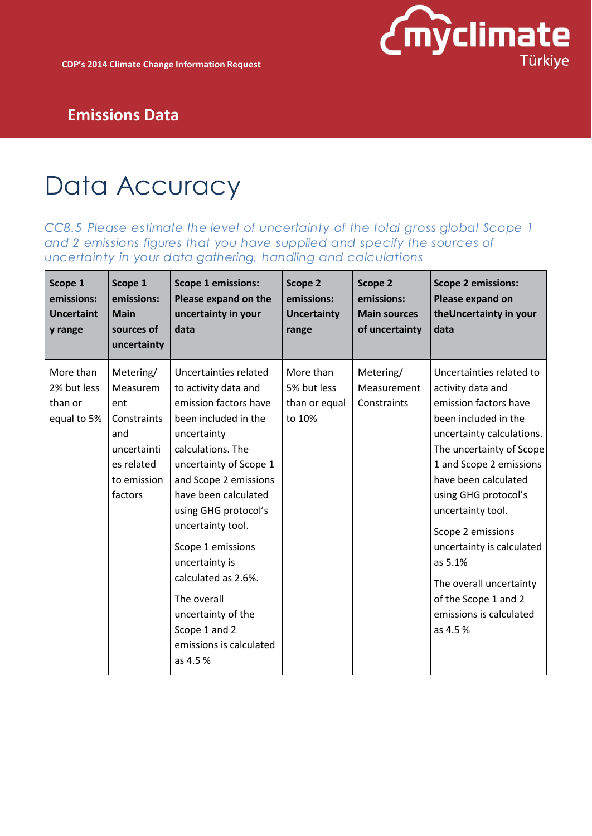

# Data Accuracy

*CC8.5 Please estimate the level of uncertainty of the total gross global Scope 1 and 2 emissions figures that you have supplied and specify the sources of uncertainty in your data gathering, handling and calculations*

| Scope 1<br>emissions:<br><b>Uncertaint</b><br>y range | Scope 1<br>emissions:<br><b>Main</b><br>sources of<br>uncertainty                                         | <b>Scope 1 emissions:</b><br>Please expand on the<br>uncertainty in your<br>data                                                                                                                                                                                                                                                                                                                                      | Scope 2<br>emissions:<br><b>Uncertainty</b><br>range | Scope 2<br>emissions:<br><b>Main sources</b><br>of uncertainty | <b>Scope 2 emissions:</b><br>Please expand on<br>the Uncertainty in your<br>data                                                                                                                                                                                                                                                                                                                               |
|-------------------------------------------------------|-----------------------------------------------------------------------------------------------------------|-----------------------------------------------------------------------------------------------------------------------------------------------------------------------------------------------------------------------------------------------------------------------------------------------------------------------------------------------------------------------------------------------------------------------|------------------------------------------------------|----------------------------------------------------------------|----------------------------------------------------------------------------------------------------------------------------------------------------------------------------------------------------------------------------------------------------------------------------------------------------------------------------------------------------------------------------------------------------------------|
| More than<br>2% but less<br>than or<br>equal to 5%    | Metering/<br>Measurem<br>ent<br>Constraints<br>and<br>uncertainti<br>es related<br>to emission<br>factors | Uncertainties related<br>to activity data and<br>emission factors have<br>been included in the<br>uncertainty<br>calculations. The<br>uncertainty of Scope 1<br>and Scope 2 emissions<br>have been calculated<br>using GHG protocol's<br>uncertainty tool.<br>Scope 1 emissions<br>uncertainty is<br>calculated as 2.6%.<br>The overall<br>uncertainty of the<br>Scope 1 and 2<br>emissions is calculated<br>as 4.5 % | More than<br>5% but less<br>than or equal<br>to 10%  | Metering/<br>Measurement<br>Constraints                        | Uncertainties related to<br>activity data and<br>emission factors have<br>been included in the<br>uncertainty calculations.<br>The uncertainty of Scope<br>1 and Scope 2 emissions<br>have been calculated<br>using GHG protocol's<br>uncertainty tool.<br>Scope 2 emissions<br>uncertainty is calculated<br>as 5.1%<br>The overall uncertainty<br>of the Scope 1 and 2<br>emissions is calculated<br>as 4.5 % |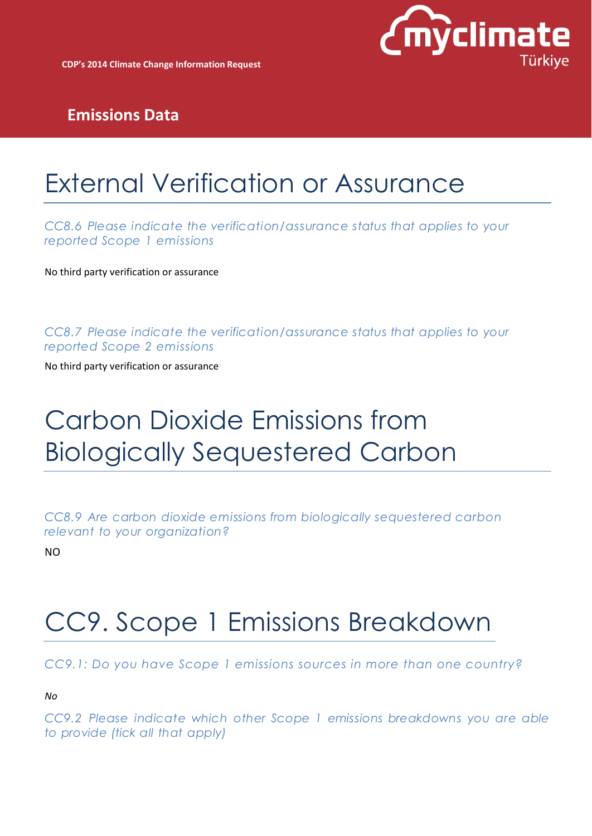

# External Verification or Assurance

*CC8.6 Please indicate the verification/assurance status that applies to your reported Scope 1 emissions*

No third party verification or assurance

*CC8.7 Please indicate the verification/assurance status that applies to your reported Scope 2 emissions*

No third party verification or assurance

# Carbon Dioxide Emissions from Biologically Sequestered Carbon

*CC8.9 Are carbon dioxide emissions from biologically sequestered carbon relevant to your organization?*

NO

# CC9. Scope 1 Emissions Breakdown

*CC9.1: Do you have Scope 1 emissions sources in more than one country?* 

*No*

*CC9.2 Please indicate which other Scope 1 emissions breakdowns you are able to provide (tick all that apply)*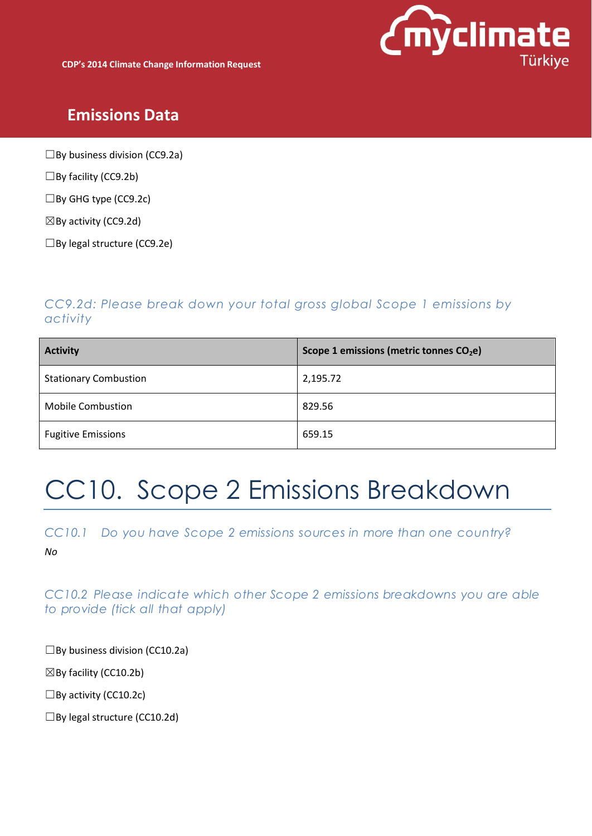

**CDP's 2014 Climate Change Information Request**

### **Emissions Data**

 $\Box$ By business division (CC9.2a)

 $\square$ By facility (CC9.2b)

☐By GHG type (CC9.2c)

 $\boxtimes$  By activity (CC9.2d)

☐By legal structure (CC9.2e)

### *CC9.2d: Please break down your total gross global Scope 1 emissions by activity*

| <b>Activity</b>              | Scope 1 emissions (metric tonnes CO <sub>2</sub> e) |
|------------------------------|-----------------------------------------------------|
| <b>Stationary Combustion</b> | 2,195.72                                            |
| <b>Mobile Combustion</b>     | 829.56                                              |
| <b>Fugitive Emissions</b>    | 659.15                                              |

# CC10. Scope 2 Emissions Breakdown

*CC10.1 Do you have Scope 2 emissions sources in more than one country?*

*No*

*CC10.2 Please indicate which other Scope 2 emissions breakdowns you are able*

*to provide (tick all that apply)*

 $\square$ By business division (CC10.2a)

 $\boxtimes$  By facility (CC10.2b)

 $\Box$ By activity (CC10.2c)

 $\square$ By legal structure (CC10.2d)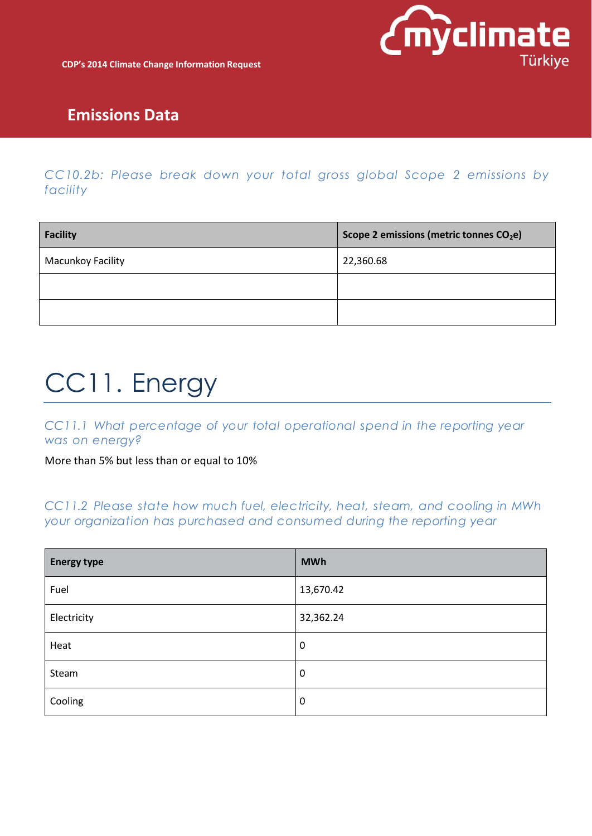

*CC10.2b: Please break down your total gross global Scope 2 emissions by facility*

| Facility                 | Scope 2 emissions (metric tonnes CO <sub>2</sub> e) |
|--------------------------|-----------------------------------------------------|
| <b>Macunkoy Facility</b> | 22,360.68                                           |
|                          |                                                     |
|                          |                                                     |

# CC11. Energy

*CC11.1 What percentage of your total operational spend in the reporting year was on energy?*

More than 5% but less than or equal to 10%

*CC11.2 Please state how much fuel, electricity, heat, steam, and cooling in MWh your organization has purchased and consumed during the reporting year*

| <b>Energy type</b> | <b>MWh</b>       |
|--------------------|------------------|
| Fuel               | 13,670.42        |
| Electricity        | 32,362.24        |
| Heat               | $\boldsymbol{0}$ |
| Steam              | $\mathbf 0$      |
| Cooling            | $\mathbf 0$      |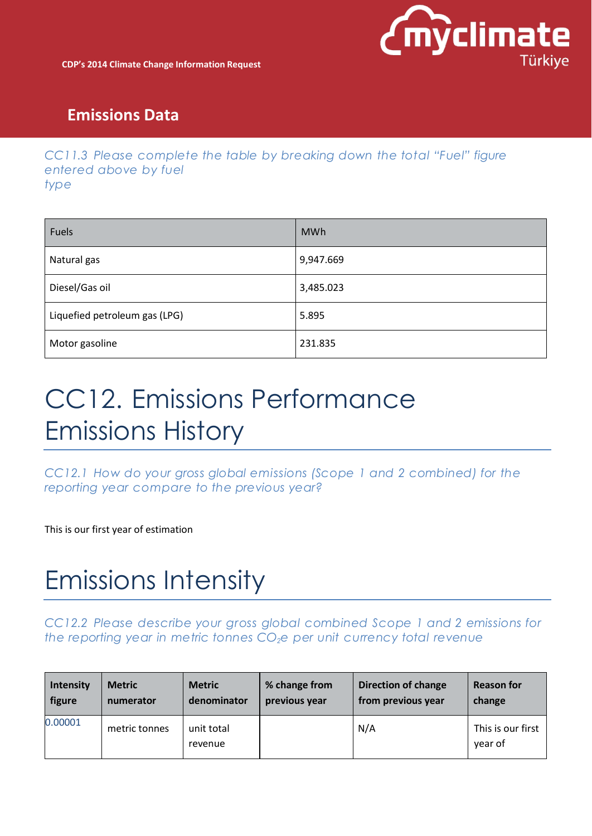

### *CC11.3 Please complete the table by breaking down the total "Fuel" figure entered above by fuel type*

| Fuels                         | <b>MWh</b> |
|-------------------------------|------------|
| Natural gas                   | 9,947.669  |
| Diesel/Gas oil                | 3,485.023  |
| Liquefied petroleum gas (LPG) | 5.895      |
| Motor gasoline                | 231.835    |

# CC12. Emissions Performance Emissions History

*CC12.1 How do your gross global emissions (Scope 1 and 2 combined) for the reporting year compare to the previous year?*

This is our first year of estimation

# Emissions Intensity

*CC12.2 Please describe your gross global combined Scope 1 and 2 emissions for the reporting year in metric tonnes CO2e per unit currency total revenue*

| <b>Intensity</b> | <b>Metric</b> | <b>Metric</b>         | % change from | <b>Direction of change</b> | <b>Reason for</b>            |
|------------------|---------------|-----------------------|---------------|----------------------------|------------------------------|
| figure           | numerator     | denominator           | previous year | from previous year         | change                       |
| 0.00001          | metric tonnes | unit total<br>revenue |               | N/A                        | This is our first<br>year of |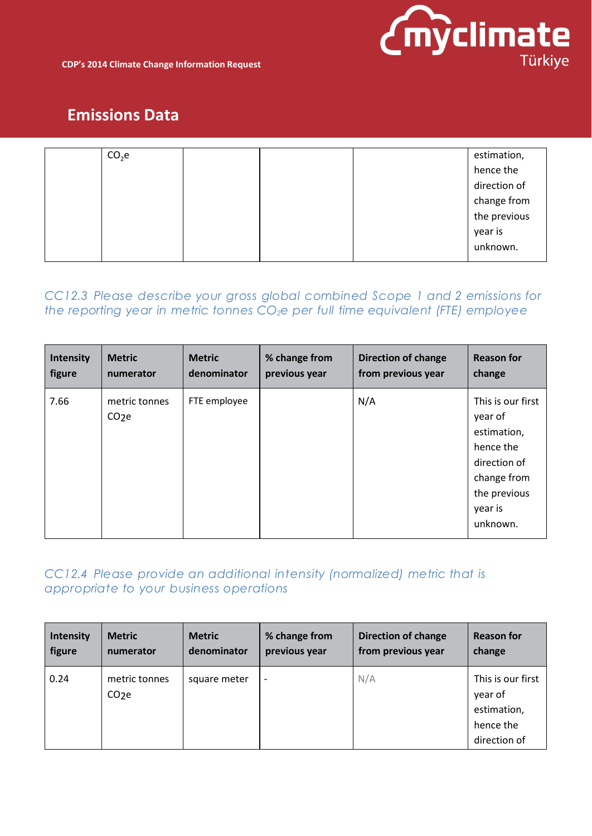

| CO <sub>2</sub> e |  | estimation,                 |
|-------------------|--|-----------------------------|
|                   |  | hence the                   |
|                   |  | direction of                |
|                   |  |                             |
|                   |  | change from<br>the previous |
|                   |  | year is                     |
|                   |  | unknown.                    |
|                   |  |                             |

### *CC12.3 Please describe your gross global combined Scope 1 and 2 emissions for the reporting year in metric tonnes CO2e per full time equivalent (FTE) employee*

| <b>Intensity</b> | <b>Metric</b>                      | <b>Metric</b> | % change from | <b>Direction of change</b> | <b>Reason for</b>                                                                                                              |
|------------------|------------------------------------|---------------|---------------|----------------------------|--------------------------------------------------------------------------------------------------------------------------------|
| figure           | numerator                          | denominator   | previous year | from previous year         | change                                                                                                                         |
| 7.66             | metric tonnes<br>CO <sub>2</sub> e | FTE employee  |               | N/A                        | This is our first<br>year of<br>estimation,<br>hence the<br>direction of<br>change from<br>the previous<br>year is<br>unknown. |

### *CC12.4 Please provide an additional intensity (normalized) metric that is appropriate to your business operations*

| Intensity | <b>Metric</b>                      | <b>Metric</b> | % change from            | <b>Direction of change</b> | <b>Reason for</b>                                                        |
|-----------|------------------------------------|---------------|--------------------------|----------------------------|--------------------------------------------------------------------------|
| figure    | numerator                          | denominator   | previous year            | from previous year         | change                                                                   |
| 0.24      | metric tonnes<br>CO <sub>2</sub> e | square meter  | $\overline{\phantom{a}}$ | N/A                        | This is our first<br>year of<br>estimation,<br>hence the<br>direction of |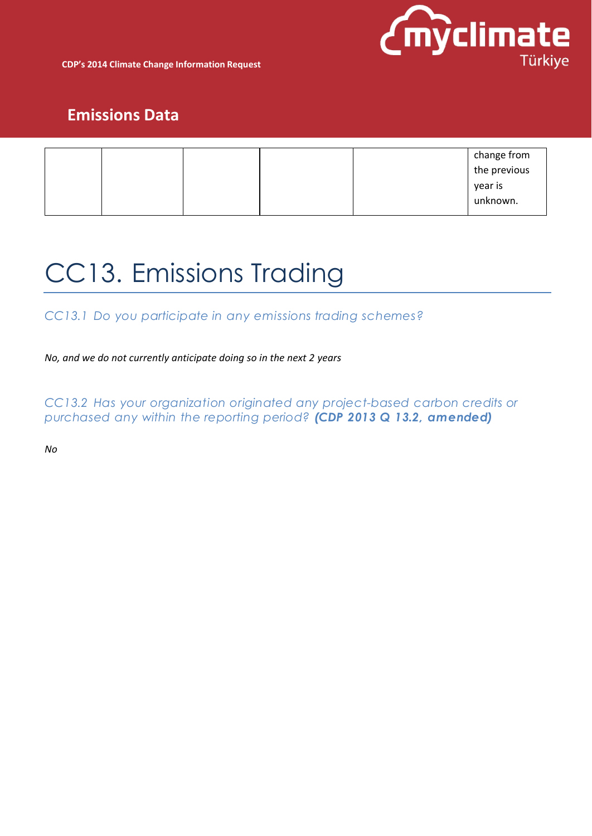

**CDP's 2014 Climate Change Information Request**

## **Emissions Data**

|  |  | change from<br>the previous |
|--|--|-----------------------------|
|  |  | year is<br>unknown.         |

# CC13. Emissions Trading

*CC13.1 Do you participate in any emissions trading schemes?*

*No, and we do not currently anticipate doing so in the next 2 years*

*CC13.2 Has your organization originated any project-based carbon credits or purchased any within the reporting period? (CDP 2013 Q 13.2, amended)*

*No*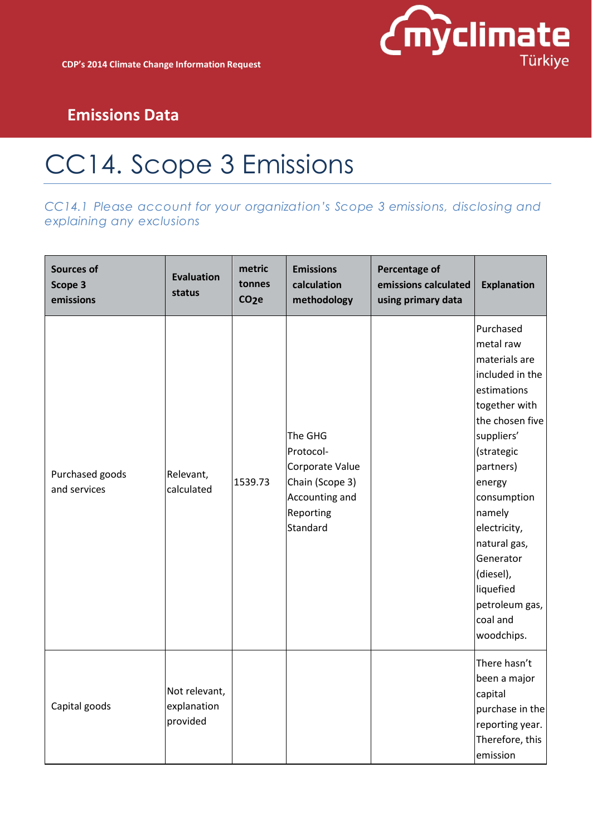# CC14. Scope 3 Emissions

*CC14.1 Please account for your organization's Scope 3 emissions, disclosing and explaining any exclusions*

| <b>Sources of</b><br>Scope 3<br>emissions | <b>Evaluation</b><br>status              | metric<br>tonnes<br>CO <sub>2</sub> e | <b>Emissions</b><br>calculation<br>methodology                                                        | Percentage of<br>emissions calculated<br>using primary data | <b>Explanation</b>                                                                                                                                                                                                                                                                                           |
|-------------------------------------------|------------------------------------------|---------------------------------------|-------------------------------------------------------------------------------------------------------|-------------------------------------------------------------|--------------------------------------------------------------------------------------------------------------------------------------------------------------------------------------------------------------------------------------------------------------------------------------------------------------|
| Purchased goods<br>and services           | Relevant,<br>calculated                  | 1539.73                               | The GHG<br>Protocol-<br>Corporate Value<br>Chain (Scope 3)<br>Accounting and<br>Reporting<br>Standard |                                                             | Purchased<br>metal raw<br>materials are<br>included in the<br>estimations<br>together with<br>the chosen five<br>suppliers'<br>(strategic<br>partners)<br>energy<br>consumption<br>namely<br>electricity,<br>natural gas,<br>Generator<br>(diesel),<br>liquefied<br>petroleum gas,<br>coal and<br>woodchips. |
| Capital goods                             | Not relevant,<br>explanation<br>provided |                                       |                                                                                                       |                                                             | There hasn't<br>been a major<br>capital<br>purchase in the<br>reporting year.<br>Therefore, this<br>emission                                                                                                                                                                                                 |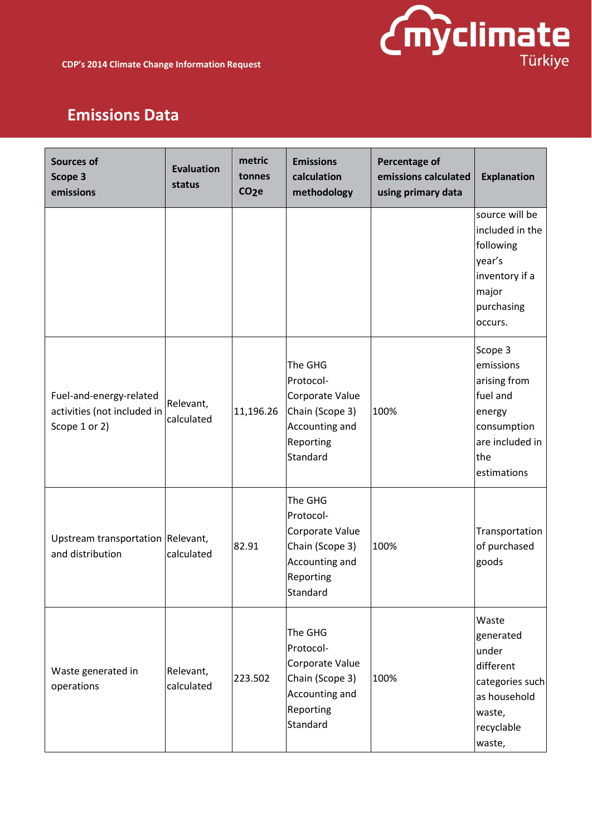

| <b>Sources of</b><br>Scope 3<br>emissions                               | <b>Evaluation</b><br>status | metric<br>tonnes<br>CO <sub>2</sub> e | <b>Emissions</b><br>calculation<br>methodology                                                        | Percentage of<br>emissions calculated<br>using primary data | <b>Explanation</b>                                                                                                 |
|-------------------------------------------------------------------------|-----------------------------|---------------------------------------|-------------------------------------------------------------------------------------------------------|-------------------------------------------------------------|--------------------------------------------------------------------------------------------------------------------|
|                                                                         |                             |                                       |                                                                                                       |                                                             | source will be<br>included in the<br>following<br>year's<br>inventory if a<br>major<br>purchasing<br>occurs.       |
| Fuel-and-energy-related<br>activities (not included in<br>Scope 1 or 2) | Relevant,<br>calculated     | 11,196.26                             | The GHG<br>Protocol-<br>Corporate Value<br>Chain (Scope 3)<br>Accounting and<br>Reporting<br>Standard | 100%                                                        | Scope 3<br>emissions<br>arising from<br>fuel and<br>energy<br>consumption<br>are included in<br>the<br>estimations |
| Upstream transportation Relevant,<br>and distribution                   | calculated                  | 82.91                                 | The GHG<br>Protocol-<br>Corporate Value<br>Chain (Scope 3)<br>Accounting and<br>Reporting<br>Standard | 100%                                                        | Transportation<br>of purchased<br>goods                                                                            |
| Waste generated in<br>operations                                        | Relevant,<br>calculated     | 223.502                               | The GHG<br>Protocol-<br>Corporate Value<br>Chain (Scope 3)<br>Accounting and<br>Reporting<br>Standard | 100%                                                        | Waste<br>generated<br>under<br>different<br>categories such<br>as household<br>waste,<br>recyclable<br>waste,      |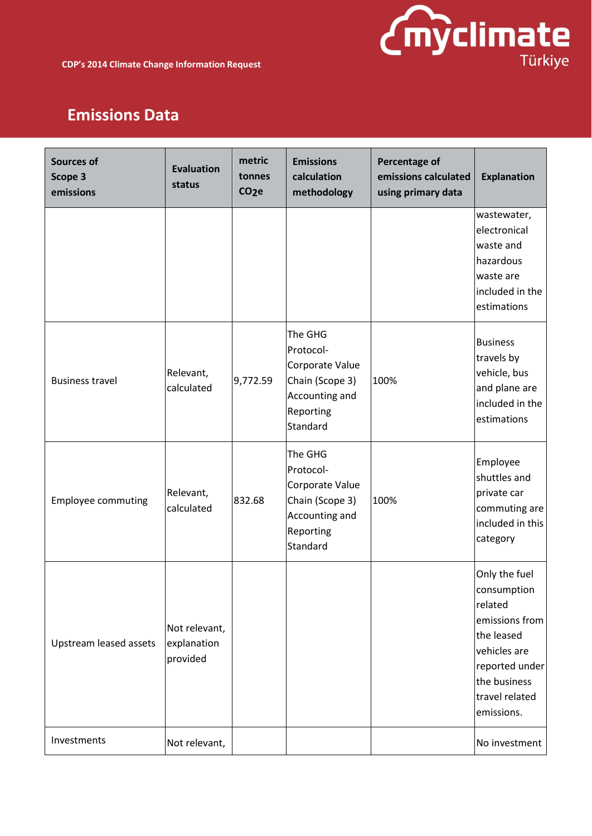

| <b>Sources of</b><br>Scope 3<br>emissions | <b>Evaluation</b><br>status              | metric<br>tonnes<br>CO <sub>2</sub> e | <b>Emissions</b><br>calculation<br>methodology                                                        | Percentage of<br>emissions calculated<br>using primary data | <b>Explanation</b>                                                                                                                                        |
|-------------------------------------------|------------------------------------------|---------------------------------------|-------------------------------------------------------------------------------------------------------|-------------------------------------------------------------|-----------------------------------------------------------------------------------------------------------------------------------------------------------|
|                                           |                                          |                                       |                                                                                                       |                                                             | wastewater,<br>electronical<br>waste and<br>hazardous<br>waste are<br>included in the<br>estimations                                                      |
| <b>Business travel</b>                    | Relevant,<br>calculated                  | 9,772.59                              | The GHG<br>Protocol-<br>Corporate Value<br>Chain (Scope 3)<br>Accounting and<br>Reporting<br>Standard | 100%                                                        | <b>Business</b><br>travels by<br>vehicle, bus<br>and plane are<br>included in the<br>estimations                                                          |
| <b>Employee commuting</b>                 | Relevant,<br>calculated                  | 832.68                                | The GHG<br>Protocol-<br>Corporate Value<br>Chain (Scope 3)<br>Accounting and<br>Reporting<br>Standard | 100%                                                        | Employee<br>shuttles and<br>private car<br>commuting are<br>included in this<br>category                                                                  |
| <b>Upstream leased assets</b>             | Not relevant,<br>explanation<br>provided |                                       |                                                                                                       |                                                             | Only the fuel<br>consumption<br>related<br>emissions from<br>the leased<br>vehicles are<br>reported under<br>the business<br>travel related<br>emissions. |
| Investments                               | Not relevant,                            |                                       |                                                                                                       |                                                             | No investment                                                                                                                                             |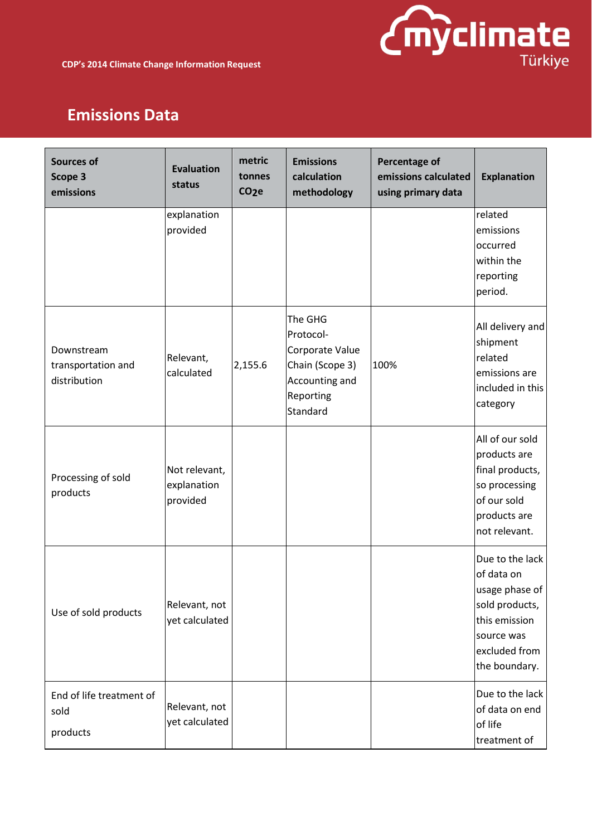

| <b>Sources of</b><br>Scope 3<br>emissions        | <b>Evaluation</b><br>status              | metric<br>tonnes<br>CO <sub>2</sub> e | <b>Emissions</b><br>calculation<br>methodology                                                        | Percentage of<br>emissions calculated<br>using primary data | <b>Explanation</b>                                                                                                                 |
|--------------------------------------------------|------------------------------------------|---------------------------------------|-------------------------------------------------------------------------------------------------------|-------------------------------------------------------------|------------------------------------------------------------------------------------------------------------------------------------|
|                                                  | explanation<br>provided                  |                                       |                                                                                                       |                                                             | related<br>emissions<br>occurred<br>within the<br>reporting<br>period.                                                             |
| Downstream<br>transportation and<br>distribution | Relevant,<br>calculated                  | 2,155.6                               | The GHG<br>Protocol-<br>Corporate Value<br>Chain (Scope 3)<br>Accounting and<br>Reporting<br>Standard | 100%                                                        | All delivery and<br>shipment<br>related<br>emissions are<br>included in this<br>category                                           |
| Processing of sold<br>products                   | Not relevant,<br>explanation<br>provided |                                       |                                                                                                       |                                                             | All of our sold<br>products are<br>final products,<br>so processing<br>of our sold<br>products are<br>not relevant.                |
| Use of sold products                             | Relevant, not<br>yet calculated          |                                       |                                                                                                       |                                                             | Due to the lack<br>of data on<br>usage phase of<br>sold products,<br>this emission<br>source was<br>excluded from<br>the boundary. |
| End of life treatment of<br>sold<br>products     | Relevant, not<br>yet calculated          |                                       |                                                                                                       |                                                             | Due to the lack<br>of data on end<br>of life<br>treatment of                                                                       |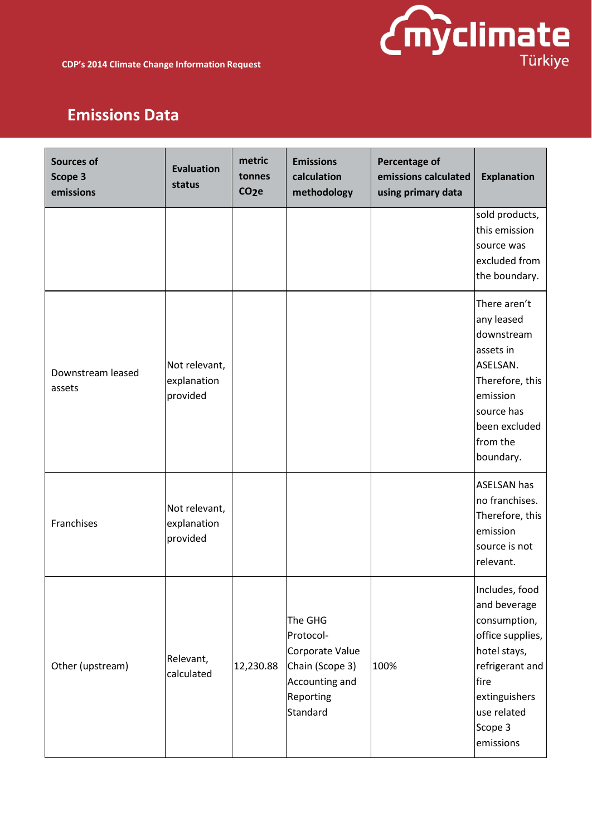

| <b>Sources of</b><br>Scope 3<br>emissions | <b>Evaluation</b><br>status              | metric<br>tonnes<br>CO <sub>2</sub> e | <b>Emissions</b><br>calculation<br>methodology                                                        | Percentage of<br>emissions calculated<br>using primary data | <b>Explanation</b>                                                                                                                                                    |
|-------------------------------------------|------------------------------------------|---------------------------------------|-------------------------------------------------------------------------------------------------------|-------------------------------------------------------------|-----------------------------------------------------------------------------------------------------------------------------------------------------------------------|
|                                           |                                          |                                       |                                                                                                       |                                                             | sold products,<br>this emission<br>source was<br>excluded from<br>the boundary.                                                                                       |
| Downstream leased<br>assets               | Not relevant,<br>explanation<br>provided |                                       |                                                                                                       |                                                             | There aren't<br>any leased<br>downstream<br>assets in<br>ASELSAN.<br>Therefore, this<br>emission<br>source has<br>been excluded<br>from the<br>boundary.              |
| Franchises                                | Not relevant,<br>explanation<br>provided |                                       |                                                                                                       |                                                             | <b>ASELSAN has</b><br>no franchises.<br>Therefore, this<br>emission<br>source is not<br>relevant.                                                                     |
| Other (upstream)                          | Relevant,<br>calculated                  | 12,230.88                             | The GHG<br>Protocol-<br>Corporate Value<br>Chain (Scope 3)<br>Accounting and<br>Reporting<br>Standard | 100%                                                        | Includes, food<br>and beverage<br>consumption,<br>office supplies,<br>hotel stays,<br>refrigerant and<br>fire<br>extinguishers<br>use related<br>Scope 3<br>emissions |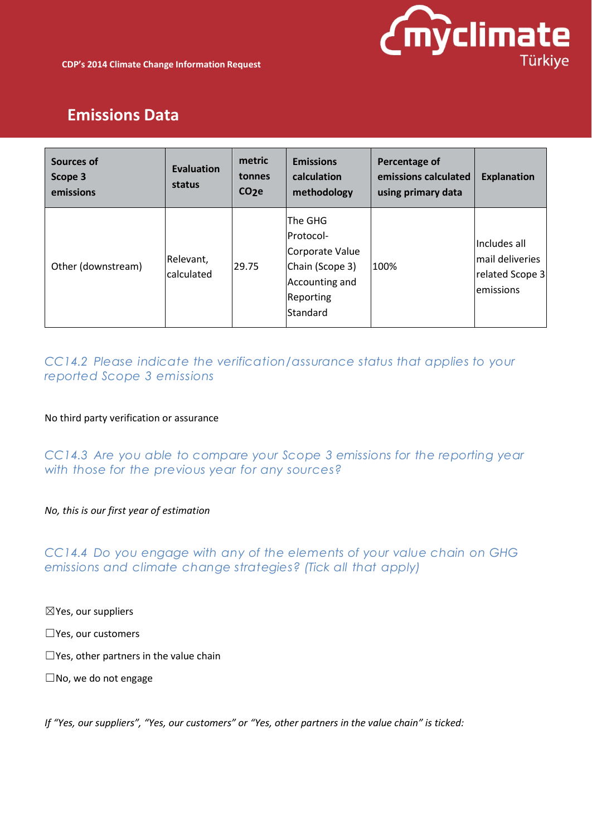

| Sources of<br>Scope 3<br>emissions | Evaluation<br>status    | metric<br>tonnes<br>CO <sub>2</sub> e | <b>Emissions</b><br>calculation<br>methodology                                                        | Percentage of<br>emissions calculated<br>using primary data | <b>Explanation</b>                                               |
|------------------------------------|-------------------------|---------------------------------------|-------------------------------------------------------------------------------------------------------|-------------------------------------------------------------|------------------------------------------------------------------|
| Other (downstream)                 | Relevant,<br>calculated | 29.75                                 | The GHG<br>Protocol-<br>Corporate Value<br>Chain (Scope 3)<br>Accounting and<br>Reporting<br>Standard | 100%                                                        | Includes all<br>lmail deliveries<br>related Scope 3<br>emissions |

### *CC14.2 Please indicate the verification/assurance status that applies to your reported Scope 3 emissions*

#### No third party verification or assurance

*CC14.3 Are you able to compare your Scope 3 emissions for the reporting year with those for the previous year for any sources?*

#### *No, this is our first year of estimation*

#### *CC14.4 Do you engage with any of the elements of your value chain on GHG emissions and climate change strategies? (Tick all that apply)*

☒Yes, our suppliers

☐Yes, our customers

 $\Box$ Yes, other partners in the value chain

☐No, we do not engage

If "Yes, our suppliers", "Yes, our customers" or "Yes, other partners in the value chain" is ticked: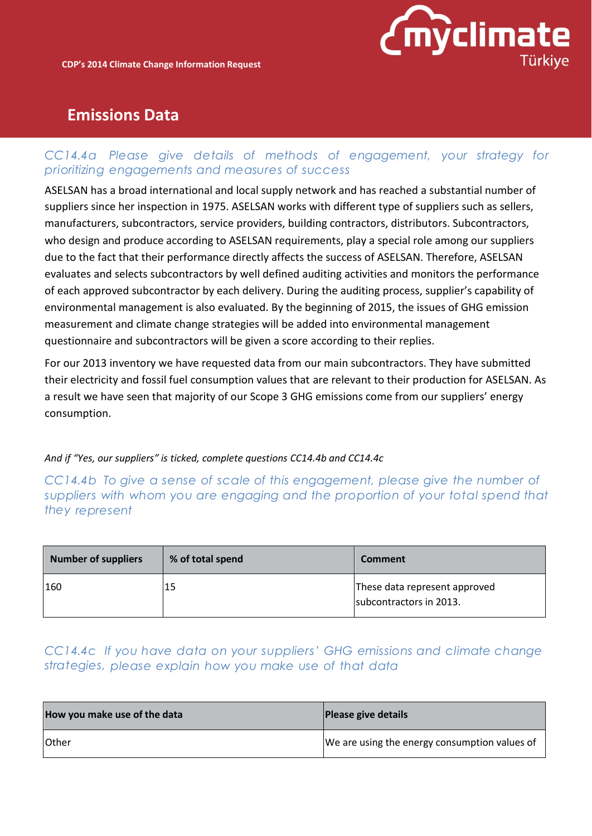

#### *CC14.4a Please give details of methods of engagement, your strategy for prioritizing engagements and measures of success*

ASELSAN has a broad international and local supply network and has reached a substantial number of suppliers since her inspection in 1975. ASELSAN works with different type of suppliers such as sellers, manufacturers, subcontractors, service providers, building contractors, distributors. Subcontractors, who design and produce according to ASELSAN requirements, play a special role among our suppliers due to the fact that their performance directly affects the success of ASELSAN. Therefore, ASELSAN evaluates and selects subcontractors by well defined auditing activities and monitors the performance of each approved subcontractor by each delivery. During the auditing process, supplier's capability of environmental management is also evaluated. By the beginning of 2015, the issues of GHG emission measurement and climate change strategies will be added into environmental management questionnaire and subcontractors will be given a score according to their replies.

For our 2013 inventory we have requested data from our main subcontractors. They have submitted their electricity and fossil fuel consumption values that are relevant to their production for ASELSAN. As a result we have seen that majority of our Scope 3 GHG emissions come from our suppliers' energy consumption.

#### *And if "Yes, our suppliers" is ticked, complete questions CC14.4b and CC14.4c*

*CC14.4b To give a sense of scale of this engagement, please give the number of suppliers with whom you are engaging and the proportion of your total spend that they represent*

| <b>Number of suppliers</b> | % of total spend | <b>Comment</b>                                           |
|----------------------------|------------------|----------------------------------------------------------|
| 160                        | 15               | These data represent approved<br>subcontractors in 2013. |

### *CC14.4c If you have data on your suppliers' GHG emissions and climate change strategies, please explain how you make use of that data*

| How you make use of the data | Please give details                           |
|------------------------------|-----------------------------------------------|
| <b>Other</b>                 | We are using the energy consumption values of |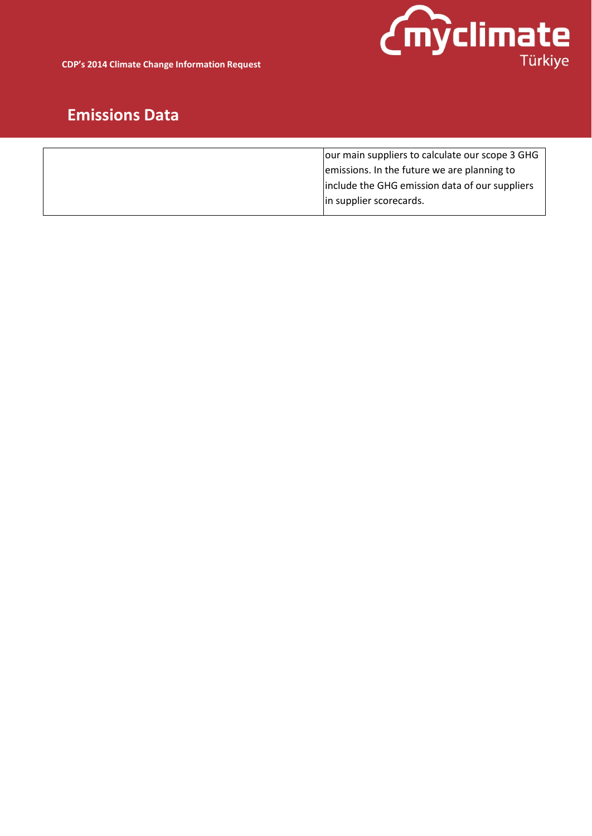

**CDP's 2014 Climate Change Information Request**

| our main suppliers to calculate our scope 3 GHG |
|-------------------------------------------------|
| emissions. In the future we are planning to     |
| include the GHG emission data of our suppliers  |
| in supplier scorecards.                         |
|                                                 |